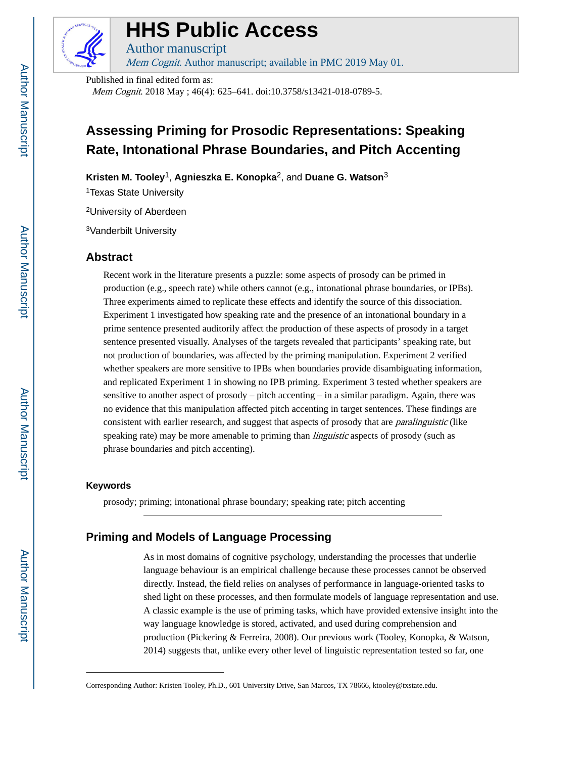

# **HHS Public Access**

Author manuscript Mem Cognit. Author manuscript; available in PMC 2019 May 01.

Published in final edited form as: Mem Cognit. 2018 May ; 46(4): 625–641. doi:10.3758/s13421-018-0789-5.

# **Assessing Priming for Prosodic Representations: Speaking Rate, Intonational Phrase Boundaries, and Pitch Accenting**

**Kristen M. Tooley**1, **Agnieszka E. Konopka**2, and **Duane G. Watson**<sup>3</sup>

<sup>1</sup>Texas State University

<sup>2</sup>University of Aberdeen

<sup>3</sup>Vanderbilt University

# **Abstract**

Recent work in the literature presents a puzzle: some aspects of prosody can be primed in production (e.g., speech rate) while others cannot (e.g., intonational phrase boundaries, or IPBs). Three experiments aimed to replicate these effects and identify the source of this dissociation. Experiment 1 investigated how speaking rate and the presence of an intonational boundary in a prime sentence presented auditorily affect the production of these aspects of prosody in a target sentence presented visually. Analyses of the targets revealed that participants' speaking rate, but not production of boundaries, was affected by the priming manipulation. Experiment 2 verified whether speakers are more sensitive to IPBs when boundaries provide disambiguating information, and replicated Experiment 1 in showing no IPB priming. Experiment 3 tested whether speakers are sensitive to another aspect of prosody – pitch accenting – in a similar paradigm. Again, there was no evidence that this manipulation affected pitch accenting in target sentences. These findings are consistent with earlier research, and suggest that aspects of prosody that are *paralinguistic* (like speaking rate) may be more amenable to priming than *linguistic* aspects of prosody (such as phrase boundaries and pitch accenting).

# **Keywords**

prosody; priming; intonational phrase boundary; speaking rate; pitch accenting

# **Priming and Models of Language Processing**

As in most domains of cognitive psychology, understanding the processes that underlie language behaviour is an empirical challenge because these processes cannot be observed directly. Instead, the field relies on analyses of performance in language-oriented tasks to shed light on these processes, and then formulate models of language representation and use. A classic example is the use of priming tasks, which have provided extensive insight into the way language knowledge is stored, activated, and used during comprehension and production (Pickering & Ferreira, 2008). Our previous work (Tooley, Konopka, & Watson, 2014) suggests that, unlike every other level of linguistic representation tested so far, one

Corresponding Author: Kristen Tooley, Ph.D., 601 University Drive, San Marcos, TX 78666, ktooley@txstate.edu.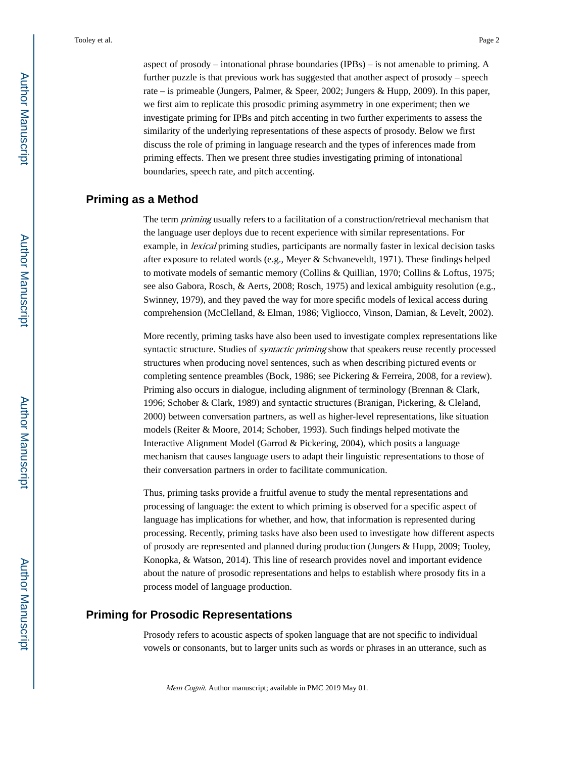aspect of prosody – intonational phrase boundaries (IPBs) – is not amenable to priming. A further puzzle is that previous work has suggested that another aspect of prosody – speech rate – is primeable (Jungers, Palmer, & Speer, 2002; Jungers & Hupp, 2009). In this paper, we first aim to replicate this prosodic priming asymmetry in one experiment; then we investigate priming for IPBs and pitch accenting in two further experiments to assess the similarity of the underlying representations of these aspects of prosody. Below we first discuss the role of priming in language research and the types of inferences made from priming effects. Then we present three studies investigating priming of intonational boundaries, speech rate, and pitch accenting.

# **Priming as a Method**

The term priming usually refers to a facilitation of a construction/retrieval mechanism that the language user deploys due to recent experience with similar representations. For example, in *lexical* priming studies, participants are normally faster in lexical decision tasks after exposure to related words (e.g., Meyer & Schvaneveldt, 1971). These findings helped to motivate models of semantic memory (Collins & Quillian, 1970; Collins & Loftus, 1975; see also Gabora, Rosch, & Aerts, 2008; Rosch, 1975) and lexical ambiguity resolution (e.g., Swinney, 1979), and they paved the way for more specific models of lexical access during comprehension (McClelland, & Elman, 1986; Vigliocco, Vinson, Damian, & Levelt, 2002).

More recently, priming tasks have also been used to investigate complex representations like syntactic structure. Studies of *syntactic priming* show that speakers reuse recently processed structures when producing novel sentences, such as when describing pictured events or completing sentence preambles (Bock, 1986; see Pickering & Ferreira, 2008, for a review). Priming also occurs in dialogue, including alignment of terminology (Brennan & Clark, 1996; Schober & Clark, 1989) and syntactic structures (Branigan, Pickering, & Cleland, 2000) between conversation partners, as well as higher-level representations, like situation models (Reiter & Moore, 2014; Schober, 1993). Such findings helped motivate the Interactive Alignment Model (Garrod & Pickering, 2004), which posits a language mechanism that causes language users to adapt their linguistic representations to those of their conversation partners in order to facilitate communication.

Thus, priming tasks provide a fruitful avenue to study the mental representations and processing of language: the extent to which priming is observed for a specific aspect of language has implications for whether, and how, that information is represented during processing. Recently, priming tasks have also been used to investigate how different aspects of prosody are represented and planned during production (Jungers & Hupp, 2009; Tooley, Konopka, & Watson, 2014). This line of research provides novel and important evidence about the nature of prosodic representations and helps to establish where prosody fits in a process model of language production.

# **Priming for Prosodic Representations**

Prosody refers to acoustic aspects of spoken language that are not specific to individual vowels or consonants, but to larger units such as words or phrases in an utterance, such as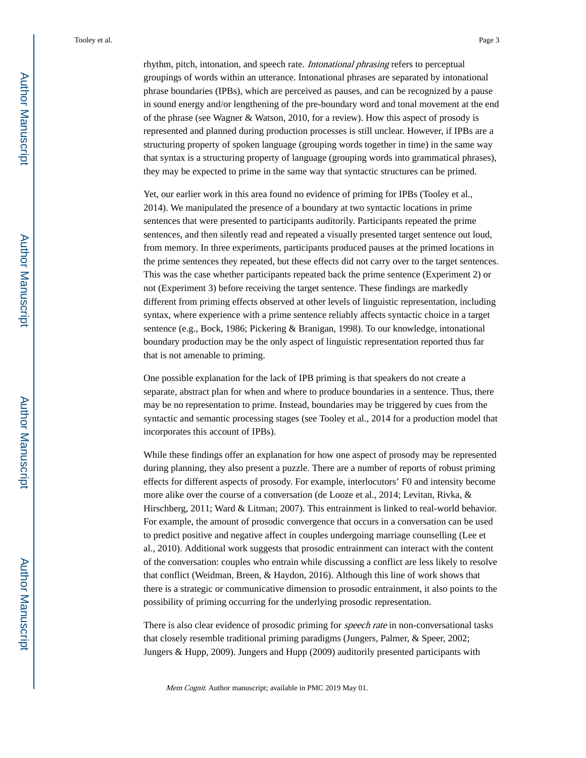rhythm, pitch, intonation, and speech rate. Intonational phrasing refers to perceptual groupings of words within an utterance. Intonational phrases are separated by intonational phrase boundaries (IPBs), which are perceived as pauses, and can be recognized by a pause in sound energy and/or lengthening of the pre-boundary word and tonal movement at the end of the phrase (see Wagner & Watson, 2010, for a review). How this aspect of prosody is represented and planned during production processes is still unclear. However, if IPBs are a structuring property of spoken language (grouping words together in time) in the same way that syntax is a structuring property of language (grouping words into grammatical phrases), they may be expected to prime in the same way that syntactic structures can be primed.

Yet, our earlier work in this area found no evidence of priming for IPBs (Tooley et al., 2014). We manipulated the presence of a boundary at two syntactic locations in prime sentences that were presented to participants auditorily. Participants repeated the prime sentences, and then silently read and repeated a visually presented target sentence out loud, from memory. In three experiments, participants produced pauses at the primed locations in the prime sentences they repeated, but these effects did not carry over to the target sentences. This was the case whether participants repeated back the prime sentence (Experiment 2) or not (Experiment 3) before receiving the target sentence. These findings are markedly different from priming effects observed at other levels of linguistic representation, including syntax, where experience with a prime sentence reliably affects syntactic choice in a target sentence (e.g., Bock, 1986; Pickering & Branigan, 1998). To our knowledge, intonational boundary production may be the only aspect of linguistic representation reported thus far that is not amenable to priming.

One possible explanation for the lack of IPB priming is that speakers do not create a separate, abstract plan for when and where to produce boundaries in a sentence. Thus, there may be no representation to prime. Instead, boundaries may be triggered by cues from the syntactic and semantic processing stages (see Tooley et al., 2014 for a production model that incorporates this account of IPBs).

While these findings offer an explanation for how one aspect of prosody may be represented during planning, they also present a puzzle. There are a number of reports of robust priming effects for different aspects of prosody. For example, interlocutors' F0 and intensity become more alike over the course of a conversation (de Looze et al., 2014; Levitan, Rivka, & Hirschberg, 2011; Ward & Litman; 2007). This entrainment is linked to real-world behavior. For example, the amount of prosodic convergence that occurs in a conversation can be used to predict positive and negative affect in couples undergoing marriage counselling (Lee et al., 2010). Additional work suggests that prosodic entrainment can interact with the content of the conversation: couples who entrain while discussing a conflict are less likely to resolve that conflict (Weidman, Breen, & Haydon, 2016). Although this line of work shows that there is a strategic or communicative dimension to prosodic entrainment, it also points to the possibility of priming occurring for the underlying prosodic representation.

There is also clear evidence of prosodic priming for *speech rate* in non-conversational tasks that closely resemble traditional priming paradigms (Jungers, Palmer, & Speer, 2002; Jungers & Hupp, 2009). Jungers and Hupp (2009) auditorily presented participants with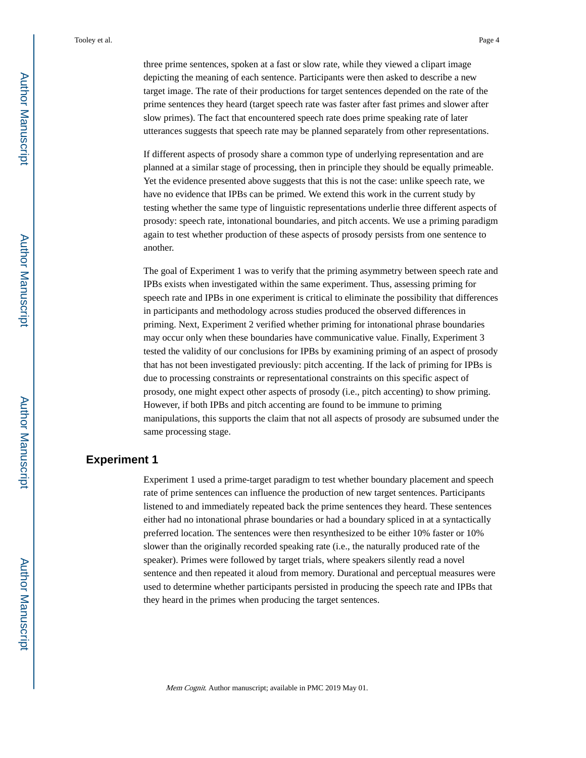three prime sentences, spoken at a fast or slow rate, while they viewed a clipart image depicting the meaning of each sentence. Participants were then asked to describe a new target image. The rate of their productions for target sentences depended on the rate of the prime sentences they heard (target speech rate was faster after fast primes and slower after slow primes). The fact that encountered speech rate does prime speaking rate of later utterances suggests that speech rate may be planned separately from other representations.

If different aspects of prosody share a common type of underlying representation and are planned at a similar stage of processing, then in principle they should be equally primeable. Yet the evidence presented above suggests that this is not the case: unlike speech rate, we have no evidence that IPBs can be primed. We extend this work in the current study by testing whether the same type of linguistic representations underlie three different aspects of prosody: speech rate, intonational boundaries, and pitch accents. We use a priming paradigm again to test whether production of these aspects of prosody persists from one sentence to another.

The goal of Experiment 1 was to verify that the priming asymmetry between speech rate and IPBs exists when investigated within the same experiment. Thus, assessing priming for speech rate and IPBs in one experiment is critical to eliminate the possibility that differences in participants and methodology across studies produced the observed differences in priming. Next, Experiment 2 verified whether priming for intonational phrase boundaries may occur only when these boundaries have communicative value. Finally, Experiment 3 tested the validity of our conclusions for IPBs by examining priming of an aspect of prosody that has not been investigated previously: pitch accenting. If the lack of priming for IPBs is due to processing constraints or representational constraints on this specific aspect of prosody, one might expect other aspects of prosody (i.e., pitch accenting) to show priming. However, if both IPBs and pitch accenting are found to be immune to priming manipulations, this supports the claim that not all aspects of prosody are subsumed under the same processing stage.

# **Experiment 1**

Experiment 1 used a prime-target paradigm to test whether boundary placement and speech rate of prime sentences can influence the production of new target sentences. Participants listened to and immediately repeated back the prime sentences they heard. These sentences either had no intonational phrase boundaries or had a boundary spliced in at a syntactically preferred location. The sentences were then resynthesized to be either 10% faster or 10% slower than the originally recorded speaking rate (i.e., the naturally produced rate of the speaker). Primes were followed by target trials, where speakers silently read a novel sentence and then repeated it aloud from memory. Durational and perceptual measures were used to determine whether participants persisted in producing the speech rate and IPBs that they heard in the primes when producing the target sentences.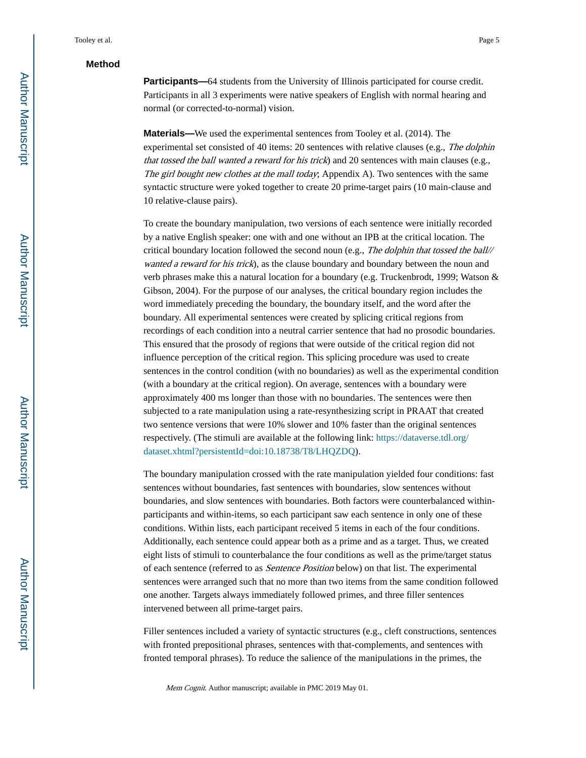# **Method**

**Participants—**64 students from the University of Illinois participated for course credit. Participants in all 3 experiments were native speakers of English with normal hearing and normal (or corrected-to-normal) vision.

**Materials—**We used the experimental sentences from Tooley et al. (2014). The experimental set consisted of 40 items: 20 sentences with relative clauses (e.g., The dolphin that tossed the ball wanted a reward for his trick) and 20 sentences with main clauses (e.g., The girl bought new clothes at the mall today; Appendix A). Two sentences with the same syntactic structure were yoked together to create 20 prime-target pairs (10 main-clause and 10 relative-clause pairs).

To create the boundary manipulation, two versions of each sentence were initially recorded by a native English speaker: one with and one without an IPB at the critical location. The critical boundary location followed the second noun (e.g., The dolphin that tossed the ball// wanted a reward for his trick), as the clause boundary and boundary between the noun and verb phrases make this a natural location for a boundary (e.g. Truckenbrodt, 1999; Watson & Gibson, 2004). For the purpose of our analyses, the critical boundary region includes the word immediately preceding the boundary, the boundary itself, and the word after the boundary. All experimental sentences were created by splicing critical regions from recordings of each condition into a neutral carrier sentence that had no prosodic boundaries. This ensured that the prosody of regions that were outside of the critical region did not influence perception of the critical region. This splicing procedure was used to create sentences in the control condition (with no boundaries) as well as the experimental condition (with a boundary at the critical region). On average, sentences with a boundary were approximately 400 ms longer than those with no boundaries. The sentences were then subjected to a rate manipulation using a rate-resynthesizing script in PRAAT that created two sentence versions that were 10% slower and 10% faster than the original sentences respectively. (The stimuli are available at the following link: [https://dataverse.tdl.org/](https://dataverse.tdl.org/dataset.xhtml?persistentId=doi:10.18738/T8/LHQZDQ) [dataset.xhtml?persistentId=doi:10.18738/T8/LHQZDQ](https://dataverse.tdl.org/dataset.xhtml?persistentId=doi:10.18738/T8/LHQZDQ)).

The boundary manipulation crossed with the rate manipulation yielded four conditions: fast sentences without boundaries, fast sentences with boundaries, slow sentences without boundaries, and slow sentences with boundaries. Both factors were counterbalanced withinparticipants and within-items, so each participant saw each sentence in only one of these conditions. Within lists, each participant received 5 items in each of the four conditions. Additionally, each sentence could appear both as a prime and as a target. Thus, we created eight lists of stimuli to counterbalance the four conditions as well as the prime/target status of each sentence (referred to as Sentence Position below) on that list. The experimental sentences were arranged such that no more than two items from the same condition followed one another. Targets always immediately followed primes, and three filler sentences intervened between all prime-target pairs.

Filler sentences included a variety of syntactic structures (e.g., cleft constructions, sentences with fronted prepositional phrases, sentences with that-complements, and sentences with fronted temporal phrases). To reduce the salience of the manipulations in the primes, the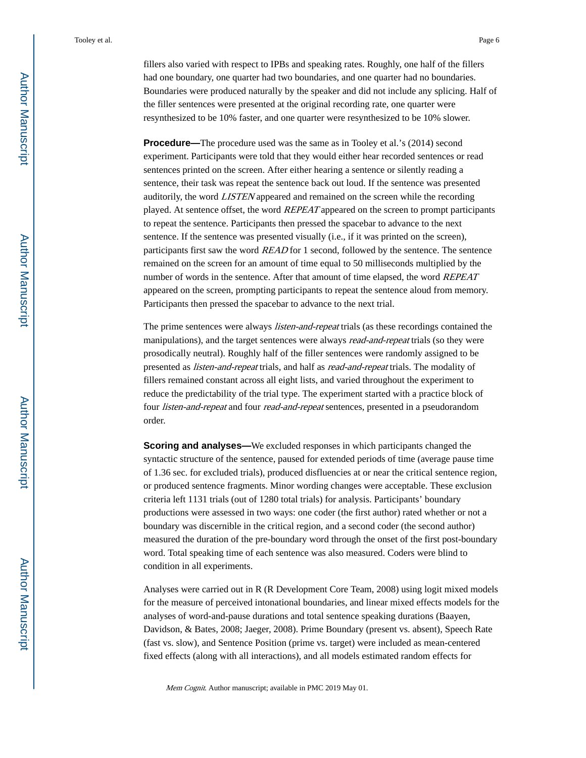fillers also varied with respect to IPBs and speaking rates. Roughly, one half of the fillers had one boundary, one quarter had two boundaries, and one quarter had no boundaries. Boundaries were produced naturally by the speaker and did not include any splicing. Half of the filler sentences were presented at the original recording rate, one quarter were resynthesized to be 10% faster, and one quarter were resynthesized to be 10% slower.

**Procedure—The procedure used was the same as in Tooley et al.'s (2014) second** experiment. Participants were told that they would either hear recorded sentences or read sentences printed on the screen. After either hearing a sentence or silently reading a sentence, their task was repeat the sentence back out loud. If the sentence was presented auditorily, the word LISTEN appeared and remained on the screen while the recording played. At sentence offset, the word REPEAT appeared on the screen to prompt participants to repeat the sentence. Participants then pressed the spacebar to advance to the next sentence. If the sentence was presented visually (i.e., if it was printed on the screen), participants first saw the word READ for 1 second, followed by the sentence. The sentence remained on the screen for an amount of time equal to 50 milliseconds multiplied by the number of words in the sentence. After that amount of time elapsed, the word REPEAT appeared on the screen, prompting participants to repeat the sentence aloud from memory. Participants then pressed the spacebar to advance to the next trial.

The prime sentences were always *listen-and-repeat* trials (as these recordings contained the manipulations), and the target sentences were always *read-and-repeat* trials (so they were prosodically neutral). Roughly half of the filler sentences were randomly assigned to be presented as listen-and-repeat trials, and half as read-and-repeat trials. The modality of fillers remained constant across all eight lists, and varied throughout the experiment to reduce the predictability of the trial type. The experiment started with a practice block of four *listen-and-repeat* and four *read-and-repeat* sentences, presented in a pseudorandom order.

**Scoring and analyses—**We excluded responses in which participants changed the syntactic structure of the sentence, paused for extended periods of time (average pause time of 1.36 sec. for excluded trials), produced disfluencies at or near the critical sentence region, or produced sentence fragments. Minor wording changes were acceptable. These exclusion criteria left 1131 trials (out of 1280 total trials) for analysis. Participants' boundary productions were assessed in two ways: one coder (the first author) rated whether or not a boundary was discernible in the critical region, and a second coder (the second author) measured the duration of the pre-boundary word through the onset of the first post-boundary word. Total speaking time of each sentence was also measured. Coders were blind to condition in all experiments.

Analyses were carried out in R (R Development Core Team, 2008) using logit mixed models for the measure of perceived intonational boundaries, and linear mixed effects models for the analyses of word-and-pause durations and total sentence speaking durations (Baayen, Davidson, & Bates, 2008; Jaeger, 2008). Prime Boundary (present vs. absent), Speech Rate (fast vs. slow), and Sentence Position (prime vs. target) were included as mean-centered fixed effects (along with all interactions), and all models estimated random effects for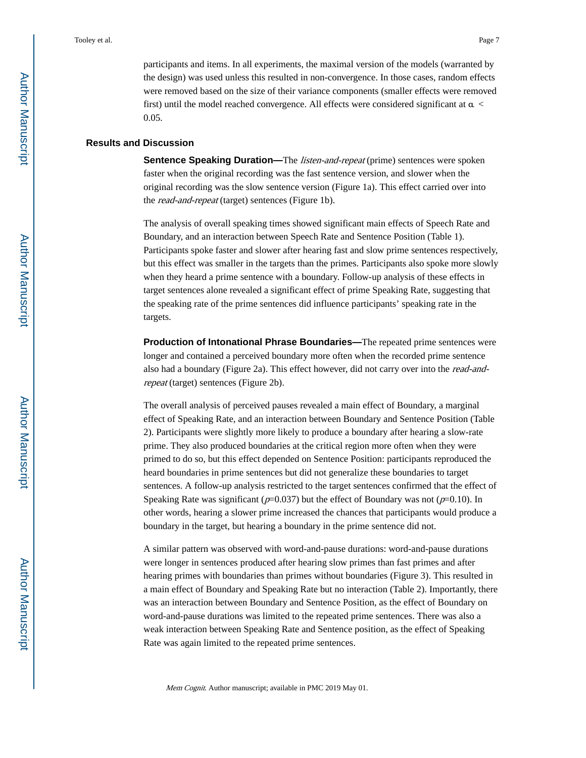participants and items. In all experiments, the maximal version of the models (warranted by the design) was used unless this resulted in non-convergence. In those cases, random effects were removed based on the size of their variance components (smaller effects were removed first) until the model reached convergence. All effects were considered significant at α < 0.05.

# **Results and Discussion**

**Sentence Speaking Duration—**The *listen-and-repeat* (prime) sentences were spoken faster when the original recording was the fast sentence version, and slower when the original recording was the slow sentence version (Figure 1a). This effect carried over into the *read-and-repeat* (target) sentences (Figure 1b).

The analysis of overall speaking times showed significant main effects of Speech Rate and Boundary, and an interaction between Speech Rate and Sentence Position (Table 1). Participants spoke faster and slower after hearing fast and slow prime sentences respectively, but this effect was smaller in the targets than the primes. Participants also spoke more slowly when they heard a prime sentence with a boundary. Follow-up analysis of these effects in target sentences alone revealed a significant effect of prime Speaking Rate, suggesting that the speaking rate of the prime sentences did influence participants' speaking rate in the targets.

**Production of Intonational Phrase Boundaries—**The repeated prime sentences were longer and contained a perceived boundary more often when the recorded prime sentence also had a boundary (Figure 2a). This effect however, did not carry over into the read-andrepeat (target) sentences (Figure 2b).

The overall analysis of perceived pauses revealed a main effect of Boundary, a marginal effect of Speaking Rate, and an interaction between Boundary and Sentence Position (Table 2). Participants were slightly more likely to produce a boundary after hearing a slow-rate prime. They also produced boundaries at the critical region more often when they were primed to do so, but this effect depended on Sentence Position: participants reproduced the heard boundaries in prime sentences but did not generalize these boundaries to target sentences. A follow-up analysis restricted to the target sentences confirmed that the effect of Speaking Rate was significant ( $p=0.037$ ) but the effect of Boundary was not ( $p=0.10$ ). In other words, hearing a slower prime increased the chances that participants would produce a boundary in the target, but hearing a boundary in the prime sentence did not.

A similar pattern was observed with word-and-pause durations: word-and-pause durations were longer in sentences produced after hearing slow primes than fast primes and after hearing primes with boundaries than primes without boundaries (Figure 3). This resulted in a main effect of Boundary and Speaking Rate but no interaction (Table 2). Importantly, there was an interaction between Boundary and Sentence Position, as the effect of Boundary on word-and-pause durations was limited to the repeated prime sentences. There was also a weak interaction between Speaking Rate and Sentence position, as the effect of Speaking Rate was again limited to the repeated prime sentences.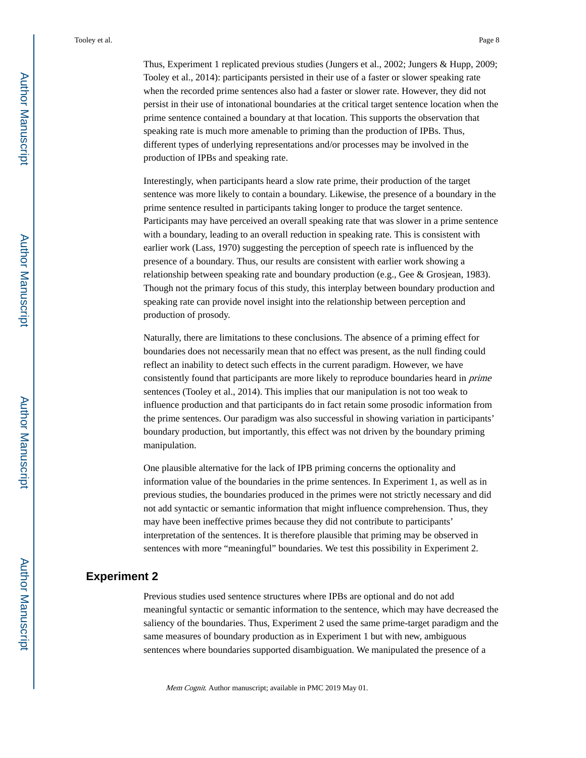Thus, Experiment 1 replicated previous studies (Jungers et al., 2002; Jungers & Hupp, 2009; Tooley et al., 2014): participants persisted in their use of a faster or slower speaking rate when the recorded prime sentences also had a faster or slower rate. However, they did not persist in their use of intonational boundaries at the critical target sentence location when the prime sentence contained a boundary at that location. This supports the observation that speaking rate is much more amenable to priming than the production of IPBs. Thus, different types of underlying representations and/or processes may be involved in the production of IPBs and speaking rate.

Interestingly, when participants heard a slow rate prime, their production of the target sentence was more likely to contain a boundary. Likewise, the presence of a boundary in the prime sentence resulted in participants taking longer to produce the target sentence. Participants may have perceived an overall speaking rate that was slower in a prime sentence with a boundary, leading to an overall reduction in speaking rate. This is consistent with earlier work (Lass, 1970) suggesting the perception of speech rate is influenced by the presence of a boundary. Thus, our results are consistent with earlier work showing a relationship between speaking rate and boundary production (e.g., Gee & Grosjean, 1983). Though not the primary focus of this study, this interplay between boundary production and speaking rate can provide novel insight into the relationship between perception and production of prosody.

Naturally, there are limitations to these conclusions. The absence of a priming effect for boundaries does not necessarily mean that no effect was present, as the null finding could reflect an inability to detect such effects in the current paradigm. However, we have consistently found that participants are more likely to reproduce boundaries heard in prime sentences (Tooley et al., 2014). This implies that our manipulation is not too weak to influence production and that participants do in fact retain some prosodic information from the prime sentences. Our paradigm was also successful in showing variation in participants' boundary production, but importantly, this effect was not driven by the boundary priming manipulation.

One plausible alternative for the lack of IPB priming concerns the optionality and information value of the boundaries in the prime sentences. In Experiment 1, as well as in previous studies, the boundaries produced in the primes were not strictly necessary and did not add syntactic or semantic information that might influence comprehension. Thus, they may have been ineffective primes because they did not contribute to participants' interpretation of the sentences. It is therefore plausible that priming may be observed in sentences with more "meaningful" boundaries. We test this possibility in Experiment 2.

## **Experiment 2**

Previous studies used sentence structures where IPBs are optional and do not add meaningful syntactic or semantic information to the sentence, which may have decreased the saliency of the boundaries. Thus, Experiment 2 used the same prime-target paradigm and the same measures of boundary production as in Experiment 1 but with new, ambiguous sentences where boundaries supported disambiguation. We manipulated the presence of a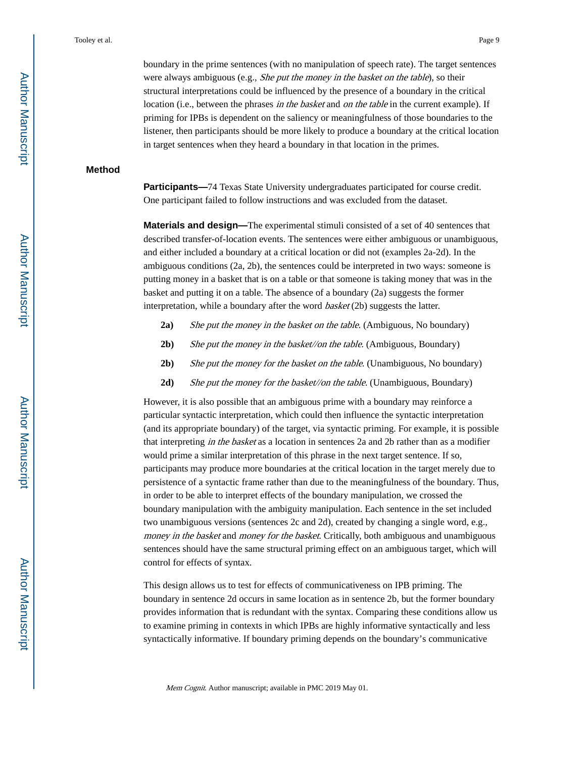boundary in the prime sentences (with no manipulation of speech rate). The target sentences were always ambiguous (e.g., *She put the money in the basket on the table*), so their structural interpretations could be influenced by the presence of a boundary in the critical location (i.e., between the phrases in the basket and on the table in the current example). If priming for IPBs is dependent on the saliency or meaningfulness of those boundaries to the listener, then participants should be more likely to produce a boundary at the critical location in target sentences when they heard a boundary in that location in the primes.

#### **Method**

**Participants—**74 Texas State University undergraduates participated for course credit. One participant failed to follow instructions and was excluded from the dataset.

**Materials and design—**The experimental stimuli consisted of a set of 40 sentences that described transfer-of-location events. The sentences were either ambiguous or unambiguous, and either included a boundary at a critical location or did not (examples 2a-2d). In the ambiguous conditions (2a, 2b), the sentences could be interpreted in two ways: someone is putting money in a basket that is on a table or that someone is taking money that was in the basket and putting it on a table. The absence of a boundary (2a) suggests the former interpretation, while a boundary after the word *basket* (2b) suggests the latter.

- **2a)** She put the money in the basket on the table. (Ambiguous, No boundary)
- **2b)** She put the money in the basket//on the table. (Ambiguous, Boundary)
- **2b)** She put the money for the basket on the table. (Unambiguous, No boundary)
- 2d) She put the money for the basket//on the table. (Unambiguous, Boundary)

However, it is also possible that an ambiguous prime with a boundary may reinforce a particular syntactic interpretation, which could then influence the syntactic interpretation (and its appropriate boundary) of the target, via syntactic priming. For example, it is possible that interpreting in the basket as a location in sentences 2a and 2b rather than as a modifier would prime a similar interpretation of this phrase in the next target sentence. If so, participants may produce more boundaries at the critical location in the target merely due to persistence of a syntactic frame rather than due to the meaningfulness of the boundary. Thus, in order to be able to interpret effects of the boundary manipulation, we crossed the boundary manipulation with the ambiguity manipulation. Each sentence in the set included two unambiguous versions (sentences 2c and 2d), created by changing a single word, e.g., money in the basket and money for the basket. Critically, both ambiguous and unambiguous sentences should have the same structural priming effect on an ambiguous target, which will control for effects of syntax.

This design allows us to test for effects of communicativeness on IPB priming. The boundary in sentence 2d occurs in same location as in sentence 2b, but the former boundary provides information that is redundant with the syntax. Comparing these conditions allow us to examine priming in contexts in which IPBs are highly informative syntactically and less syntactically informative. If boundary priming depends on the boundary's communicative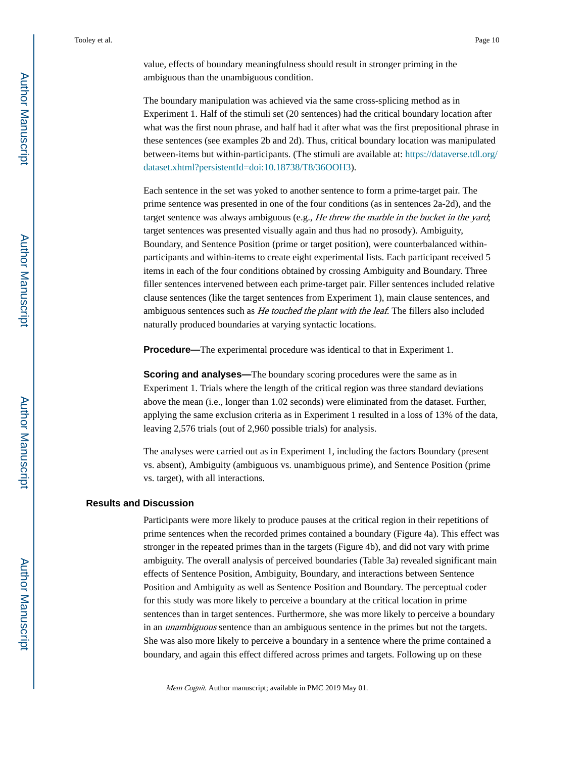value, effects of boundary meaningfulness should result in stronger priming in the ambiguous than the unambiguous condition.

The boundary manipulation was achieved via the same cross-splicing method as in Experiment 1. Half of the stimuli set (20 sentences) had the critical boundary location after what was the first noun phrase, and half had it after what was the first prepositional phrase in these sentences (see examples 2b and 2d). Thus, critical boundary location was manipulated between-items but within-participants. (The stimuli are available at: [https://dataverse.tdl.org/](https://dataverse.tdl.org/dataset.xhtml?persistentId=doi:10.18738/T8/36OOH3) [dataset.xhtml?persistentId=doi:10.18738/T8/36OOH3\)](https://dataverse.tdl.org/dataset.xhtml?persistentId=doi:10.18738/T8/36OOH3).

Each sentence in the set was yoked to another sentence to form a prime-target pair. The prime sentence was presented in one of the four conditions (as in sentences 2a-2d), and the target sentence was always ambiguous (e.g., He threw the marble in the bucket in the yard; target sentences was presented visually again and thus had no prosody). Ambiguity, Boundary, and Sentence Position (prime or target position), were counterbalanced withinparticipants and within-items to create eight experimental lists. Each participant received 5 items in each of the four conditions obtained by crossing Ambiguity and Boundary. Three filler sentences intervened between each prime-target pair. Filler sentences included relative clause sentences (like the target sentences from Experiment 1), main clause sentences, and ambiguous sentences such as *He touched the plant with the leaf*. The fillers also included naturally produced boundaries at varying syntactic locations.

**Procedure—**The experimental procedure was identical to that in Experiment 1.

**Scoring and analyses—The boundary scoring procedures were the same as in** Experiment 1. Trials where the length of the critical region was three standard deviations above the mean (i.e., longer than 1.02 seconds) were eliminated from the dataset. Further, applying the same exclusion criteria as in Experiment 1 resulted in a loss of 13% of the data, leaving 2,576 trials (out of 2,960 possible trials) for analysis.

The analyses were carried out as in Experiment 1, including the factors Boundary (present vs. absent), Ambiguity (ambiguous vs. unambiguous prime), and Sentence Position (prime vs. target), with all interactions.

#### **Results and Discussion**

Participants were more likely to produce pauses at the critical region in their repetitions of prime sentences when the recorded primes contained a boundary (Figure 4a). This effect was stronger in the repeated primes than in the targets (Figure 4b), and did not vary with prime ambiguity. The overall analysis of perceived boundaries (Table 3a) revealed significant main effects of Sentence Position, Ambiguity, Boundary, and interactions between Sentence Position and Ambiguity as well as Sentence Position and Boundary. The perceptual coder for this study was more likely to perceive a boundary at the critical location in prime sentences than in target sentences. Furthermore, she was more likely to perceive a boundary in an *unambiguous* sentence than an ambiguous sentence in the primes but not the targets. She was also more likely to perceive a boundary in a sentence where the prime contained a boundary, and again this effect differed across primes and targets. Following up on these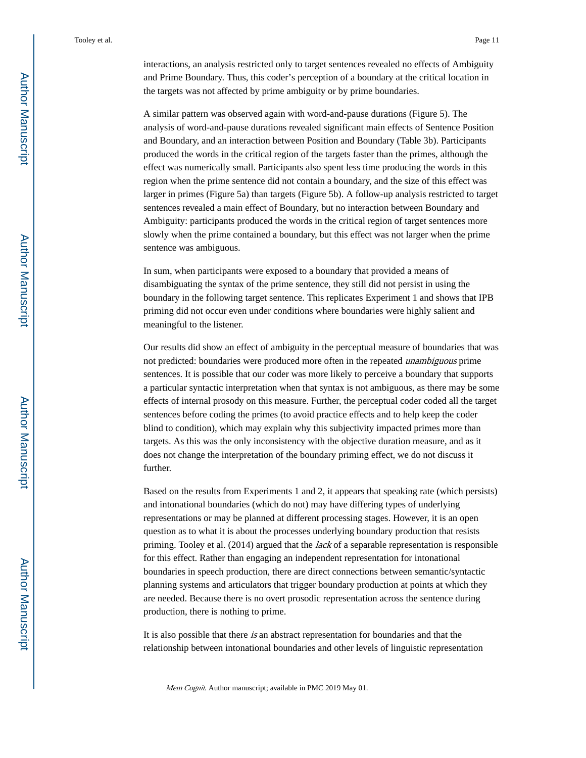interactions, an analysis restricted only to target sentences revealed no effects of Ambiguity and Prime Boundary. Thus, this coder's perception of a boundary at the critical location in the targets was not affected by prime ambiguity or by prime boundaries.

A similar pattern was observed again with word-and-pause durations (Figure 5). The analysis of word-and-pause durations revealed significant main effects of Sentence Position and Boundary, and an interaction between Position and Boundary (Table 3b). Participants produced the words in the critical region of the targets faster than the primes, although the effect was numerically small. Participants also spent less time producing the words in this region when the prime sentence did not contain a boundary, and the size of this effect was larger in primes (Figure 5a) than targets (Figure 5b). A follow-up analysis restricted to target sentences revealed a main effect of Boundary, but no interaction between Boundary and Ambiguity: participants produced the words in the critical region of target sentences more slowly when the prime contained a boundary, but this effect was not larger when the prime sentence was ambiguous.

In sum, when participants were exposed to a boundary that provided a means of disambiguating the syntax of the prime sentence, they still did not persist in using the boundary in the following target sentence. This replicates Experiment 1 and shows that IPB priming did not occur even under conditions where boundaries were highly salient and meaningful to the listener.

Our results did show an effect of ambiguity in the perceptual measure of boundaries that was not predicted: boundaries were produced more often in the repeated unambiguous prime sentences. It is possible that our coder was more likely to perceive a boundary that supports a particular syntactic interpretation when that syntax is not ambiguous, as there may be some effects of internal prosody on this measure. Further, the perceptual coder coded all the target sentences before coding the primes (to avoid practice effects and to help keep the coder blind to condition), which may explain why this subjectivity impacted primes more than targets. As this was the only inconsistency with the objective duration measure, and as it does not change the interpretation of the boundary priming effect, we do not discuss it further.

Based on the results from Experiments 1 and 2, it appears that speaking rate (which persists) and intonational boundaries (which do not) may have differing types of underlying representations or may be planned at different processing stages. However, it is an open question as to what it is about the processes underlying boundary production that resists priming. Tooley et al. (2014) argued that the *lack* of a separable representation is responsible for this effect. Rather than engaging an independent representation for intonational boundaries in speech production, there are direct connections between semantic/syntactic planning systems and articulators that trigger boundary production at points at which they are needed. Because there is no overt prosodic representation across the sentence during production, there is nothing to prime.

It is also possible that there is an abstract representation for boundaries and that the relationship between intonational boundaries and other levels of linguistic representation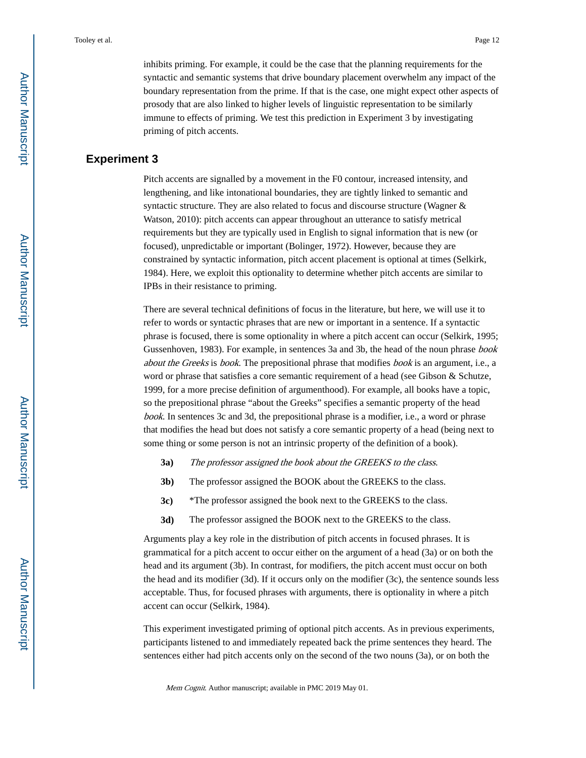inhibits priming. For example, it could be the case that the planning requirements for the syntactic and semantic systems that drive boundary placement overwhelm any impact of the boundary representation from the prime. If that is the case, one might expect other aspects of prosody that are also linked to higher levels of linguistic representation to be similarly immune to effects of priming. We test this prediction in Experiment 3 by investigating priming of pitch accents.

# **Experiment 3**

Pitch accents are signalled by a movement in the F0 contour, increased intensity, and lengthening, and like intonational boundaries, they are tightly linked to semantic and syntactic structure. They are also related to focus and discourse structure (Wagner & Watson, 2010): pitch accents can appear throughout an utterance to satisfy metrical requirements but they are typically used in English to signal information that is new (or focused), unpredictable or important (Bolinger, 1972). However, because they are constrained by syntactic information, pitch accent placement is optional at times (Selkirk, 1984). Here, we exploit this optionality to determine whether pitch accents are similar to IPBs in their resistance to priming.

There are several technical definitions of focus in the literature, but here, we will use it to refer to words or syntactic phrases that are new or important in a sentence. If a syntactic phrase is focused, there is some optionality in where a pitch accent can occur (Selkirk, 1995; Gussenhoven, 1983). For example, in sentences 3a and 3b, the head of the noun phrase book about the Greeks is book. The prepositional phrase that modifies book is an argument, i.e., a word or phrase that satisfies a core semantic requirement of a head (see Gibson & Schutze, 1999, for a more precise definition of argumenthood). For example, all books have a topic, so the prepositional phrase "about the Greeks" specifies a semantic property of the head book. In sentences 3c and 3d, the prepositional phrase is a modifier, i.e., a word or phrase that modifies the head but does not satisfy a core semantic property of a head (being next to some thing or some person is not an intrinsic property of the definition of a book).

- **3a)** The professor assigned the book about the GREEKS to the class.
- **3b)** The professor assigned the BOOK about the GREEKS to the class.
- **3c)** \*The professor assigned the book next to the GREEKS to the class.
- **3d)** The professor assigned the BOOK next to the GREEKS to the class.

Arguments play a key role in the distribution of pitch accents in focused phrases. It is grammatical for a pitch accent to occur either on the argument of a head (3a) or on both the head and its argument (3b). In contrast, for modifiers, the pitch accent must occur on both the head and its modifier (3d). If it occurs only on the modifier (3c), the sentence sounds less acceptable. Thus, for focused phrases with arguments, there is optionality in where a pitch accent can occur (Selkirk, 1984).

This experiment investigated priming of optional pitch accents. As in previous experiments, participants listened to and immediately repeated back the prime sentences they heard. The sentences either had pitch accents only on the second of the two nouns (3a), or on both the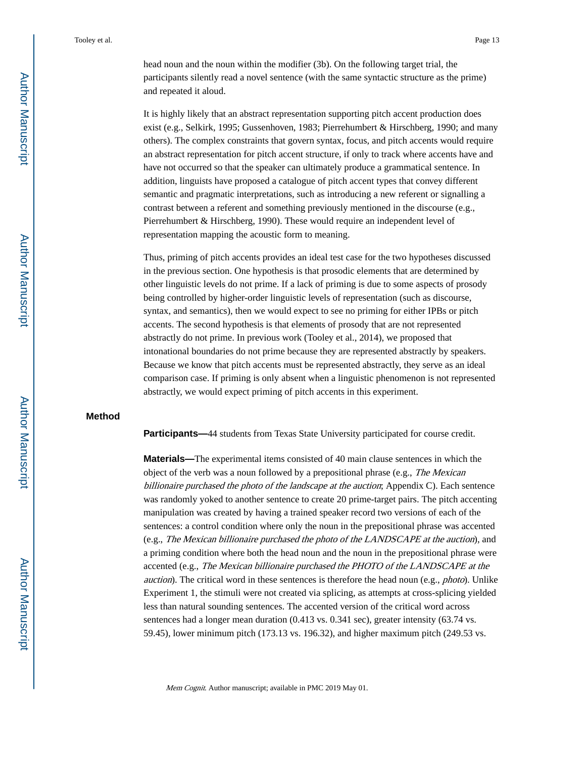head noun and the noun within the modifier (3b). On the following target trial, the participants silently read a novel sentence (with the same syntactic structure as the prime) and repeated it aloud.

It is highly likely that an abstract representation supporting pitch accent production does exist (e.g., Selkirk, 1995; Gussenhoven, 1983; Pierrehumbert & Hirschberg, 1990; and many others). The complex constraints that govern syntax, focus, and pitch accents would require an abstract representation for pitch accent structure, if only to track where accents have and have not occurred so that the speaker can ultimately produce a grammatical sentence. In addition, linguists have proposed a catalogue of pitch accent types that convey different semantic and pragmatic interpretations, such as introducing a new referent or signalling a contrast between a referent and something previously mentioned in the discourse (e.g., Pierrehumbert & Hirschberg, 1990). These would require an independent level of representation mapping the acoustic form to meaning.

Thus, priming of pitch accents provides an ideal test case for the two hypotheses discussed in the previous section. One hypothesis is that prosodic elements that are determined by other linguistic levels do not prime. If a lack of priming is due to some aspects of prosody being controlled by higher-order linguistic levels of representation (such as discourse, syntax, and semantics), then we would expect to see no priming for either IPBs or pitch accents. The second hypothesis is that elements of prosody that are not represented abstractly do not prime. In previous work (Tooley et al., 2014), we proposed that intonational boundaries do not prime because they are represented abstractly by speakers. Because we know that pitch accents must be represented abstractly, they serve as an ideal comparison case. If priming is only absent when a linguistic phenomenon is not represented abstractly, we would expect priming of pitch accents in this experiment.

#### **Method**

**Participants—44** students from Texas State University participated for course credit.

**Materials—**The experimental items consisted of 40 main clause sentences in which the object of the verb was a noun followed by a prepositional phrase (e.g., The Mexican billionaire purchased the photo of the landscape at the auction; Appendix C). Each sentence was randomly yoked to another sentence to create 20 prime-target pairs. The pitch accenting manipulation was created by having a trained speaker record two versions of each of the sentences: a control condition where only the noun in the prepositional phrase was accented (e.g., The Mexican billionaire purchased the photo of the LANDSCAPE at the auction), and a priming condition where both the head noun and the noun in the prepositional phrase were accented (e.g., The Mexican billionaire purchased the PHOTO of the LANDSCAPE at the *auction*). The critical word in these sentences is therefore the head noun (e.g., *photo*). Unlike Experiment 1, the stimuli were not created via splicing, as attempts at cross-splicing yielded less than natural sounding sentences. The accented version of the critical word across sentences had a longer mean duration (0.413 vs. 0.341 sec), greater intensity (63.74 vs. 59.45), lower minimum pitch (173.13 vs. 196.32), and higher maximum pitch (249.53 vs.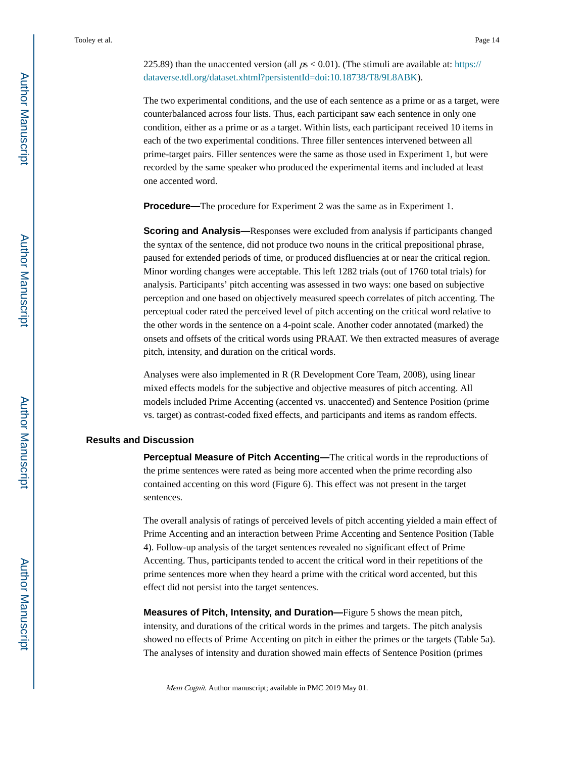225.89) than the unaccented version (all  $p_s < 0.01$ ). (The stimuli are available at: [https://](https://dataverse.tdl.org/dataset.xhtml?persistentId=doi:10.18738/T8/9L8ABK) [dataverse.tdl.org/dataset.xhtml?persistentId=doi:10.18738/T8/9L8ABK](https://dataverse.tdl.org/dataset.xhtml?persistentId=doi:10.18738/T8/9L8ABK)).

The two experimental conditions, and the use of each sentence as a prime or as a target, were counterbalanced across four lists. Thus, each participant saw each sentence in only one condition, either as a prime or as a target. Within lists, each participant received 10 items in each of the two experimental conditions. Three filler sentences intervened between all prime-target pairs. Filler sentences were the same as those used in Experiment 1, but were recorded by the same speaker who produced the experimental items and included at least one accented word.

**Procedure—The procedure for Experiment 2 was the same as in Experiment 1.** 

**Scoring and Analysis—**Responses were excluded from analysis if participants changed the syntax of the sentence, did not produce two nouns in the critical prepositional phrase, paused for extended periods of time, or produced disfluencies at or near the critical region. Minor wording changes were acceptable. This left 1282 trials (out of 1760 total trials) for analysis. Participants' pitch accenting was assessed in two ways: one based on subjective perception and one based on objectively measured speech correlates of pitch accenting. The perceptual coder rated the perceived level of pitch accenting on the critical word relative to the other words in the sentence on a 4-point scale. Another coder annotated (marked) the onsets and offsets of the critical words using PRAAT. We then extracted measures of average pitch, intensity, and duration on the critical words.

Analyses were also implemented in R (R Development Core Team, 2008), using linear mixed effects models for the subjective and objective measures of pitch accenting. All models included Prime Accenting (accented vs. unaccented) and Sentence Position (prime vs. target) as contrast-coded fixed effects, and participants and items as random effects.

#### **Results and Discussion**

**Perceptual Measure of Pitch Accenting—**The critical words in the reproductions of the prime sentences were rated as being more accented when the prime recording also contained accenting on this word (Figure 6). This effect was not present in the target sentences.

The overall analysis of ratings of perceived levels of pitch accenting yielded a main effect of Prime Accenting and an interaction between Prime Accenting and Sentence Position (Table 4). Follow-up analysis of the target sentences revealed no significant effect of Prime Accenting. Thus, participants tended to accent the critical word in their repetitions of the prime sentences more when they heard a prime with the critical word accented, but this effect did not persist into the target sentences.

**Measures of Pitch, Intensity, and Duration—**Figure 5 shows the mean pitch, intensity, and durations of the critical words in the primes and targets. The pitch analysis showed no effects of Prime Accenting on pitch in either the primes or the targets (Table 5a). The analyses of intensity and duration showed main effects of Sentence Position (primes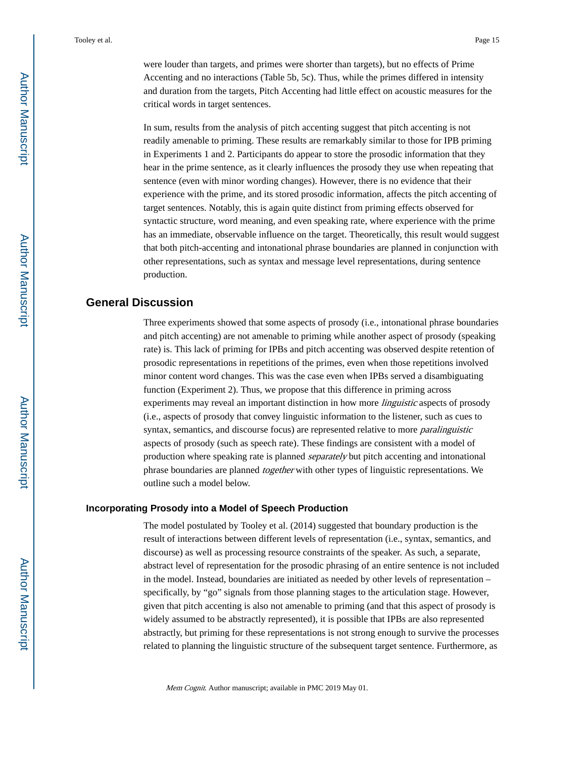were louder than targets, and primes were shorter than targets), but no effects of Prime Accenting and no interactions (Table 5b, 5c). Thus, while the primes differed in intensity and duration from the targets, Pitch Accenting had little effect on acoustic measures for the critical words in target sentences.

In sum, results from the analysis of pitch accenting suggest that pitch accenting is not readily amenable to priming. These results are remarkably similar to those for IPB priming in Experiments 1 and 2. Participants do appear to store the prosodic information that they hear in the prime sentence, as it clearly influences the prosody they use when repeating that sentence (even with minor wording changes). However, there is no evidence that their experience with the prime, and its stored prosodic information, affects the pitch accenting of target sentences. Notably, this is again quite distinct from priming effects observed for syntactic structure, word meaning, and even speaking rate, where experience with the prime has an immediate, observable influence on the target. Theoretically, this result would suggest that both pitch-accenting and intonational phrase boundaries are planned in conjunction with other representations, such as syntax and message level representations, during sentence production.

# **General Discussion**

Three experiments showed that some aspects of prosody (i.e., intonational phrase boundaries and pitch accenting) are not amenable to priming while another aspect of prosody (speaking rate) is. This lack of priming for IPBs and pitch accenting was observed despite retention of prosodic representations in repetitions of the primes, even when those repetitions involved minor content word changes. This was the case even when IPBs served a disambiguating function (Experiment 2). Thus, we propose that this difference in priming across experiments may reveal an important distinction in how more linguistic aspects of prosody (i.e., aspects of prosody that convey linguistic information to the listener, such as cues to syntax, semantics, and discourse focus) are represented relative to more *paralinguistic* aspects of prosody (such as speech rate). These findings are consistent with a model of production where speaking rate is planned separately but pitch accenting and intonational phrase boundaries are planned together with other types of linguistic representations. We outline such a model below.

#### **Incorporating Prosody into a Model of Speech Production**

The model postulated by Tooley et al. (2014) suggested that boundary production is the result of interactions between different levels of representation (i.e., syntax, semantics, and discourse) as well as processing resource constraints of the speaker. As such, a separate, abstract level of representation for the prosodic phrasing of an entire sentence is not included in the model. Instead, boundaries are initiated as needed by other levels of representation – specifically, by "go" signals from those planning stages to the articulation stage. However, given that pitch accenting is also not amenable to priming (and that this aspect of prosody is widely assumed to be abstractly represented), it is possible that IPBs are also represented abstractly, but priming for these representations is not strong enough to survive the processes related to planning the linguistic structure of the subsequent target sentence. Furthermore, as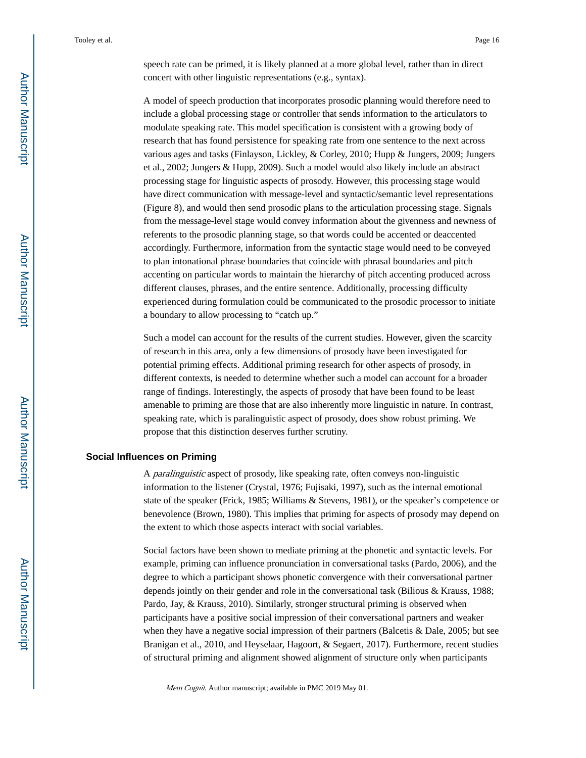speech rate can be primed, it is likely planned at a more global level, rather than in direct concert with other linguistic representations (e.g., syntax).

A model of speech production that incorporates prosodic planning would therefore need to include a global processing stage or controller that sends information to the articulators to modulate speaking rate. This model specification is consistent with a growing body of research that has found persistence for speaking rate from one sentence to the next across various ages and tasks (Finlayson, Lickley, & Corley, 2010; Hupp & Jungers, 2009; Jungers et al., 2002; Jungers & Hupp, 2009). Such a model would also likely include an abstract processing stage for linguistic aspects of prosody. However, this processing stage would have direct communication with message-level and syntactic/semantic level representations (Figure 8), and would then send prosodic plans to the articulation processing stage. Signals from the message-level stage would convey information about the givenness and newness of referents to the prosodic planning stage, so that words could be accented or deaccented accordingly. Furthermore, information from the syntactic stage would need to be conveyed to plan intonational phrase boundaries that coincide with phrasal boundaries and pitch accenting on particular words to maintain the hierarchy of pitch accenting produced across different clauses, phrases, and the entire sentence. Additionally, processing difficulty experienced during formulation could be communicated to the prosodic processor to initiate a boundary to allow processing to "catch up."

Such a model can account for the results of the current studies. However, given the scarcity of research in this area, only a few dimensions of prosody have been investigated for potential priming effects. Additional priming research for other aspects of prosody, in different contexts, is needed to determine whether such a model can account for a broader range of findings. Interestingly, the aspects of prosody that have been found to be least amenable to priming are those that are also inherently more linguistic in nature. In contrast, speaking rate, which is paralinguistic aspect of prosody, does show robust priming. We propose that this distinction deserves further scrutiny.

#### **Social Influences on Priming**

A paralinguistic aspect of prosody, like speaking rate, often conveys non-linguistic information to the listener (Crystal, 1976; Fujisaki, 1997), such as the internal emotional state of the speaker (Frick, 1985; Williams & Stevens, 1981), or the speaker's competence or benevolence (Brown, 1980). This implies that priming for aspects of prosody may depend on the extent to which those aspects interact with social variables.

Social factors have been shown to mediate priming at the phonetic and syntactic levels. For example, priming can influence pronunciation in conversational tasks (Pardo, 2006), and the degree to which a participant shows phonetic convergence with their conversational partner depends jointly on their gender and role in the conversational task (Bilious & Krauss, 1988; Pardo, Jay, & Krauss, 2010). Similarly, stronger structural priming is observed when participants have a positive social impression of their conversational partners and weaker when they have a negative social impression of their partners (Balcetis & Dale, 2005; but see Branigan et al., 2010, and Heyselaar, Hagoort, & Segaert, 2017). Furthermore, recent studies of structural priming and alignment showed alignment of structure only when participants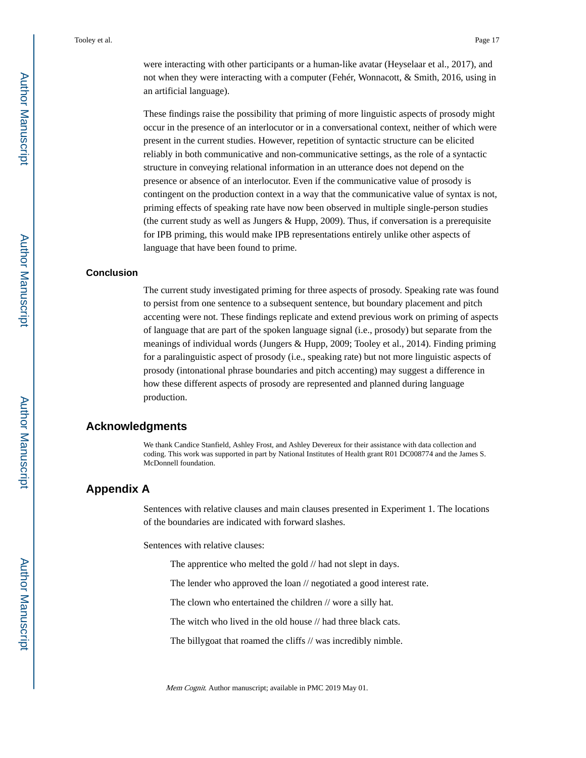were interacting with other participants or a human-like avatar (Heyselaar et al., 2017), and not when they were interacting with a computer (Fehér, Wonnacott, & Smith, 2016, using in an artificial language).

These findings raise the possibility that priming of more linguistic aspects of prosody might occur in the presence of an interlocutor or in a conversational context, neither of which were present in the current studies. However, repetition of syntactic structure can be elicited reliably in both communicative and non-communicative settings, as the role of a syntactic structure in conveying relational information in an utterance does not depend on the presence or absence of an interlocutor. Even if the communicative value of prosody is contingent on the production context in a way that the communicative value of syntax is not, priming effects of speaking rate have now been observed in multiple single-person studies (the current study as well as Jungers & Hupp, 2009). Thus, if conversation is a prerequisite for IPB priming, this would make IPB representations entirely unlike other aspects of language that have been found to prime.

#### **Conclusion**

The current study investigated priming for three aspects of prosody. Speaking rate was found to persist from one sentence to a subsequent sentence, but boundary placement and pitch accenting were not. These findings replicate and extend previous work on priming of aspects of language that are part of the spoken language signal (i.e., prosody) but separate from the meanings of individual words (Jungers & Hupp, 2009; Tooley et al., 2014). Finding priming for a paralinguistic aspect of prosody (i.e., speaking rate) but not more linguistic aspects of prosody (intonational phrase boundaries and pitch accenting) may suggest a difference in how these different aspects of prosody are represented and planned during language production.

# **Acknowledgments**

We thank Candice Stanfield, Ashley Frost, and Ashley Devereux for their assistance with data collection and coding. This work was supported in part by National Institutes of Health grant R01 DC008774 and the James S. McDonnell foundation.

# **Appendix A**

Sentences with relative clauses and main clauses presented in Experiment 1. The locations of the boundaries are indicated with forward slashes.

Sentences with relative clauses:

The apprentice who melted the gold // had not slept in days.

The lender who approved the loan // negotiated a good interest rate.

The clown who entertained the children // wore a silly hat.

The witch who lived in the old house // had three black cats.

The billygoat that roamed the cliffs // was incredibly nimble.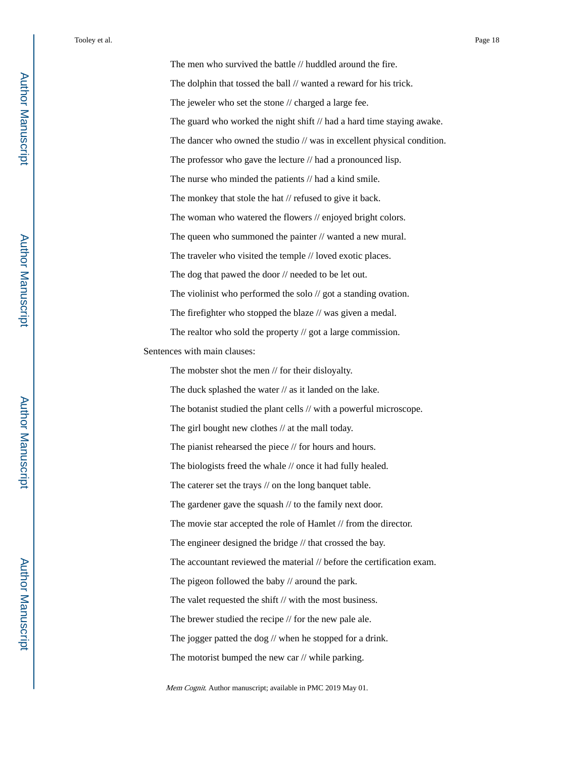The men who survived the battle // huddled around the fire. The dolphin that tossed the ball // wanted a reward for his trick. The jeweler who set the stone // charged a large fee. The guard who worked the night shift // had a hard time staying awake. The dancer who owned the studio // was in excellent physical condition. The professor who gave the lecture // had a pronounced lisp. The nurse who minded the patients // had a kind smile. The monkey that stole the hat // refused to give it back. The woman who watered the flowers // enjoyed bright colors. The queen who summoned the painter // wanted a new mural. The traveler who visited the temple // loved exotic places. The dog that pawed the door // needed to be let out. The violinist who performed the solo // got a standing ovation. The firefighter who stopped the blaze // was given a medal. The realtor who sold the property // got a large commission. Sentences with main clauses: The mobster shot the men // for their disloyalty.

The duck splashed the water // as it landed on the lake. The botanist studied the plant cells // with a powerful microscope. The girl bought new clothes // at the mall today. The pianist rehearsed the piece // for hours and hours. The biologists freed the whale // once it had fully healed. The caterer set the trays // on the long banquet table. The gardener gave the squash // to the family next door. The movie star accepted the role of Hamlet // from the director. The engineer designed the bridge // that crossed the bay. The accountant reviewed the material // before the certification exam. The pigeon followed the baby // around the park. The valet requested the shift // with the most business. The brewer studied the recipe // for the new pale ale. The jogger patted the dog // when he stopped for a drink. The motorist bumped the new car // while parking.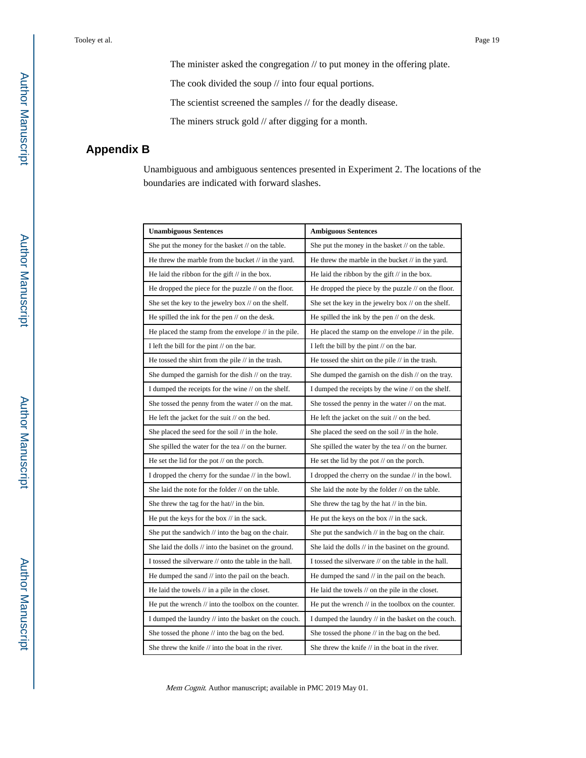The minister asked the congregation // to put money in the offering plate.

The cook divided the soup // into four equal portions.

The scientist screened the samples // for the deadly disease.

The miners struck gold // after digging for a month.

# **Appendix B**

Unambiguous and ambiguous sentences presented in Experiment 2. The locations of the boundaries are indicated with forward slashes.

| <b>Unambiguous Sentences</b>                                     | <b>Ambiguous Sentences</b>                                |
|------------------------------------------------------------------|-----------------------------------------------------------|
| She put the money for the basket // on the table.                | She put the money in the basket // on the table.          |
| He threw the marble from the bucket $\theta$ in the yard.        | He threw the marble in the bucket $\theta$ in the yard.   |
| He laid the ribbon for the gift $\pi$ in the box.                | He laid the ribbon by the gift $\theta$ in the box.       |
| He dropped the piece for the puzzle // on the floor.             | He dropped the piece by the puzzle $//$ on the floor.     |
| She set the key to the jewelry box // on the shelf.              | She set the key in the jewelry box $\theta$ on the shelf. |
| He spilled the ink for the pen $\pi$ on the desk.                | He spilled the ink by the pen $\theta$ on the desk.       |
| He placed the stamp from the envelope // in the pile.            | He placed the stamp on the envelope $\theta$ in the pile. |
| I left the bill for the pint // on the bar.                      | I left the bill by the pint $\theta$ on the bar.          |
| He tossed the shirt from the pile $\frac{1}{\pi}$ in the trash.  | He tossed the shirt on the pile $\theta$ in the trash.    |
| She dumped the garnish for the dish $\theta$ on the tray.        | She dumped the garnish on the dish $\theta$ on the tray.  |
| I dumped the receipts for the wine // on the shelf.              | I dumped the receipts by the wine // on the shelf.        |
| She tossed the penny from the water // on the mat.               | She tossed the penny in the water $\theta$ on the mat.    |
| He left the jacket for the suit $\theta$ on the bed.             | He left the jacket on the suit $\theta$ on the bed.       |
| She placed the seed for the soil // in the hole.                 | She placed the seed on the soil $\ell$ in the hole.       |
| She spilled the water for the tea $\theta$ on the burner.        | She spilled the water by the tea $\theta$ on the burner.  |
| He set the lid for the pot $//$ on the porch.                    | He set the lid by the pot $//$ on the porch.              |
| I dropped the cherry for the sundae $\pi$ in the bowl.           | I dropped the cherry on the sundae $\pi$ in the bowl.     |
| She laid the note for the folder $\pi$ on the table.             | She laid the note by the folder // on the table.          |
| She threw the tag for the hat// in the bin.                      | She threw the tag by the hat $\theta$ in the bin.         |
| He put the keys for the box $\pi$ in the sack.                   | He put the keys on the box $\pi$ in the sack.             |
| She put the sandwich // into the bag on the chair.               | She put the sandwich $\pi$ in the bag on the chair.       |
| She laid the dolls // into the basinet on the ground.            | She laid the dolls // in the basinet on the ground.       |
| I tossed the silverware // onto the table in the hall.           | I tossed the silverware // on the table in the hall.      |
| He dumped the sand $//$ into the pail on the beach.              | He dumped the sand // in the pail on the beach.           |
| He laid the towels // in a pile in the closet.                   | He laid the towels $\pi$ on the pile in the closet.       |
| He put the wrench $\frac{1}{1}$ into the toolbox on the counter. | He put the wrench $//$ in the toolbox on the counter.     |
| I dumped the laundry // into the basket on the couch.            | I dumped the laundry $//$ in the basket on the couch.     |
| She tossed the phone // into the bag on the bed.                 | She tossed the phone // in the bag on the bed.            |
| She threw the knife // into the boat in the river.               | She threw the knife // in the boat in the river.          |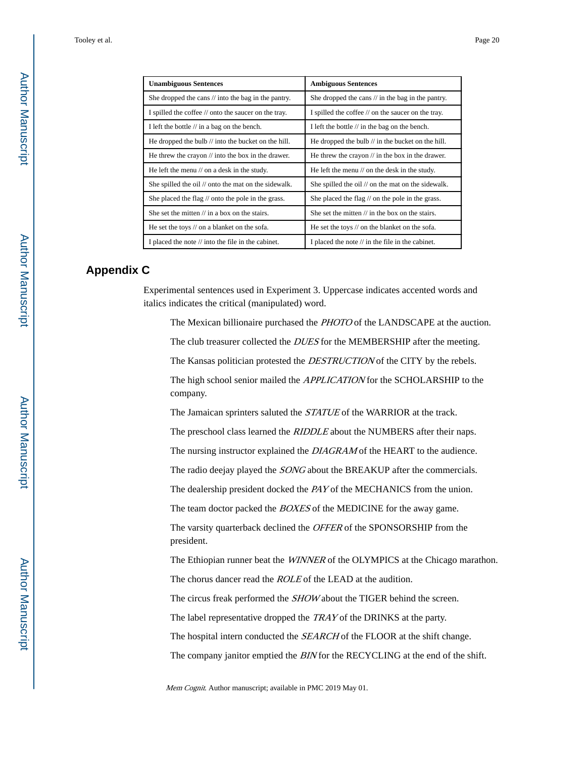| <b>Unambiguous Sentences</b>                             | <b>Ambiguous Sentences</b>                              |
|----------------------------------------------------------|---------------------------------------------------------|
| She dropped the cans // into the bag in the pantry.      | She dropped the cans $\theta$ in the bag in the pantry. |
| I spilled the coffee // onto the saucer on the tray.     | I spilled the coffee // on the saucer on the tray.      |
| I left the bottle $\pi$ in a bag on the bench.           | I left the bottle $\theta$ in the bag on the bench.     |
| He dropped the bulb // into the bucket on the hill.      | He dropped the bulb $\pi$ in the bucket on the hill.    |
| He threw the crayon $\theta$ into the box in the drawer. | He threw the crayon $\pi$ in the box in the drawer.     |
| He left the menu $\theta$ on a desk in the study.        | He left the menu $\theta$ on the desk in the study.     |
| She spilled the oil // onto the mat on the sidewalk.     | She spilled the oil // on the mat on the sidewalk.      |
| She placed the flag // onto the pole in the grass.       | She placed the flag $\theta$ on the pole in the grass.  |
| She set the mitten $\pi$ in a box on the stairs.         | She set the mitten $\pi$ in the box on the stairs.      |
| He set the toys // on a blanket on the sofa.             | He set the toys // on the blanket on the sofa.          |
| I placed the note $\theta$ into the file in the cabinet. | I placed the note $\pi$ in the file in the cabinet.     |

# **Appendix C**

Experimental sentences used in Experiment 3. Uppercase indicates accented words and italics indicates the critical (manipulated) word.

The Mexican billionaire purchased the PHOTO of the LANDSCAPE at the auction.

The club treasurer collected the DUES for the MEMBERSHIP after the meeting.

The Kansas politician protested the *DESTRUCTION* of the CITY by the rebels.

The high school senior mailed the APPLICATION for the SCHOLARSHIP to the company.

The Jamaican sprinters saluted the **STATUE** of the WARRIOR at the track.

The preschool class learned the *RIDDLE* about the NUMBERS after their naps.

The nursing instructor explained the DIAGRAM of the HEART to the audience.

The radio deejay played the SONG about the BREAKUP after the commercials.

The dealership president docked the PAY of the MECHANICS from the union.

The team doctor packed the *BOXES* of the MEDICINE for the away game.

The varsity quarterback declined the *OFFER* of the SPONSORSHIP from the president.

The Ethiopian runner beat the *WINNER* of the OLYMPICS at the Chicago marathon. The chorus dancer read the ROLE of the LEAD at the audition.

The circus freak performed the *SHOW* about the TIGER behind the screen.

The label representative dropped the *TRAY* of the DRINKS at the party.

The hospital intern conducted the *SEARCH* of the FLOOR at the shift change.

The company janitor emptied the *BIN* for the RECYCLING at the end of the shift.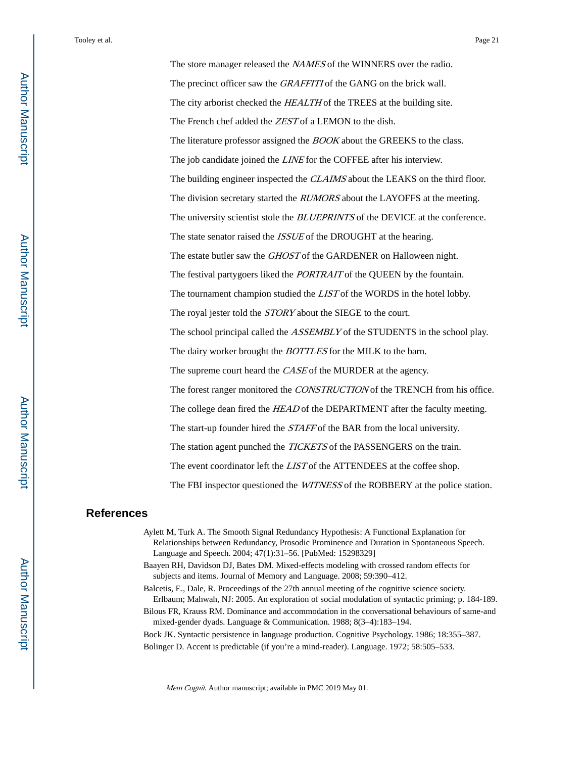The store manager released the NAMES of the WINNERS over the radio. The precinct officer saw the GRAFFITI of the GANG on the brick wall. The city arborist checked the HEALTH of the TREES at the building site. The French chef added the ZEST of a LEMON to the dish. The literature professor assigned the *BOOK* about the GREEKS to the class. The job candidate joined the *LINE* for the COFFEE after his interview. The building engineer inspected the CLAIMS about the LEAKS on the third floor. The division secretary started the *RUMORS* about the LAYOFFS at the meeting. The university scientist stole the *BLUEPRINTS* of the DEVICE at the conference. The state senator raised the *ISSUE* of the DROUGHT at the hearing. The estate butler saw the *GHOST* of the GARDENER on Halloween night. The festival partygoers liked the *PORTRAIT* of the QUEEN by the fountain. The tournament champion studied the *LIST* of the WORDS in the hotel lobby. The royal jester told the *STORY* about the SIEGE to the court. The school principal called the ASSEMBLY of the STUDENTS in the school play. The dairy worker brought the **BOTTLES** for the MILK to the barn. The supreme court heard the CASE of the MURDER at the agency. The forest ranger monitored the CONSTRUCTION of the TRENCH from his office. The college dean fired the HEAD of the DEPARTMENT after the faculty meeting. The start-up founder hired the *STAFF* of the BAR from the local university. The station agent punched the *TICKETS* of the PASSENGERS on the train. The event coordinator left the LIST of the ATTENDEES at the coffee shop. The FBI inspector questioned the WITNESS of the ROBBERY at the police station.

### **References**

- Aylett M, Turk A. The Smooth Signal Redundancy Hypothesis: A Functional Explanation for Relationships between Redundancy, Prosodic Prominence and Duration in Spontaneous Speech. Language and Speech. 2004; 47(1):31–56. [PubMed: 15298329]
- Baayen RH, Davidson DJ, Bates DM. Mixed-effects modeling with crossed random effects for subjects and items. Journal of Memory and Language. 2008; 59:390–412.
- Balcetis, E., Dale, R. Proceedings of the 27th annual meeting of the cognitive science society. Erlbaum; Mahwah, NJ: 2005. An exploration of social modulation of syntactic priming; p. 184-189.
- Bilous FR, Krauss RM. Dominance and accommodation in the conversational behaviours of same-and mixed-gender dyads. Language & Communication. 1988; 8(3–4):183–194.
- Bock JK. Syntactic persistence in language production. Cognitive Psychology. 1986; 18:355–387.
- Bolinger D. Accent is predictable (if you're a mind-reader). Language. 1972; 58:505–533.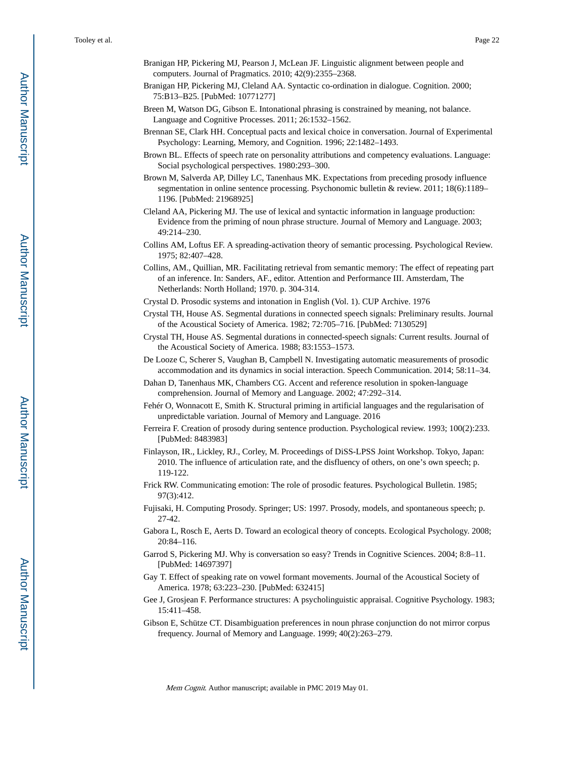- Branigan HP, Pickering MJ, Pearson J, McLean JF. Linguistic alignment between people and computers. Journal of Pragmatics. 2010; 42(9):2355–2368.
- Branigan HP, Pickering MJ, Cleland AA. Syntactic co-ordination in dialogue. Cognition. 2000; 75:B13–B25. [PubMed: 10771277]
- Breen M, Watson DG, Gibson E. Intonational phrasing is constrained by meaning, not balance. Language and Cognitive Processes. 2011; 26:1532–1562.
- Brennan SE, Clark HH. Conceptual pacts and lexical choice in conversation. Journal of Experimental Psychology: Learning, Memory, and Cognition. 1996; 22:1482–1493.
- Brown BL. Effects of speech rate on personality attributions and competency evaluations. Language: Social psychological perspectives. 1980:293–300.
- Brown M, Salverda AP, Dilley LC, Tanenhaus MK. Expectations from preceding prosody influence segmentation in online sentence processing. Psychonomic bulletin & review. 2011; 18(6):1189– 1196. [PubMed: 21968925]
- Cleland AA, Pickering MJ. The use of lexical and syntactic information in language production: Evidence from the priming of noun phrase structure. Journal of Memory and Language. 2003; 49:214–230.
- Collins AM, Loftus EF. A spreading-activation theory of semantic processing. Psychological Review. 1975; 82:407–428.
- Collins, AM., Quillian, MR. Facilitating retrieval from semantic memory: The effect of repeating part of an inference. In: Sanders, AF., editor. Attention and Performance III. Amsterdam, The Netherlands: North Holland; 1970. p. 304-314.
- Crystal D. Prosodic systems and intonation in English (Vol. 1). CUP Archive. 1976
- Crystal TH, House AS. Segmental durations in connected speech signals: Preliminary results. Journal of the Acoustical Society of America. 1982; 72:705–716. [PubMed: 7130529]
- Crystal TH, House AS. Segmental durations in connected-speech signals: Current results. Journal of the Acoustical Society of America. 1988; 83:1553–1573.
- De Looze C, Scherer S, Vaughan B, Campbell N. Investigating automatic measurements of prosodic accommodation and its dynamics in social interaction. Speech Communication. 2014; 58:11–34.
- Dahan D, Tanenhaus MK, Chambers CG. Accent and reference resolution in spoken-language comprehension. Journal of Memory and Language. 2002; 47:292–314.
- Fehér O, Wonnacott E, Smith K. Structural priming in artificial languages and the regularisation of unpredictable variation. Journal of Memory and Language. 2016
- Ferreira F. Creation of prosody during sentence production. Psychological review. 1993; 100(2):233. [PubMed: 8483983]
- Finlayson, IR., Lickley, RJ., Corley, M. Proceedings of DiSS-LPSS Joint Workshop. Tokyo, Japan: 2010. The influence of articulation rate, and the disfluency of others, on one's own speech; p. 119-122.
- Frick RW. Communicating emotion: The role of prosodic features. Psychological Bulletin. 1985; 97(3):412.
- Fujisaki, H. Computing Prosody. Springer; US: 1997. Prosody, models, and spontaneous speech; p. 27-42.
- Gabora L, Rosch E, Aerts D. Toward an ecological theory of concepts. Ecological Psychology. 2008; 20:84–116.
- Garrod S, Pickering MJ. Why is conversation so easy? Trends in Cognitive Sciences. 2004; 8:8–11. [PubMed: 14697397]
- Gay T. Effect of speaking rate on vowel formant movements. Journal of the Acoustical Society of America. 1978; 63:223–230. [PubMed: 632415]
- Gee J, Grosjean F. Performance structures: A psycholinguistic appraisal. Cognitive Psychology. 1983; 15:411–458.
- Gibson E, Schütze CT. Disambiguation preferences in noun phrase conjunction do not mirror corpus frequency. Journal of Memory and Language. 1999; 40(2):263–279.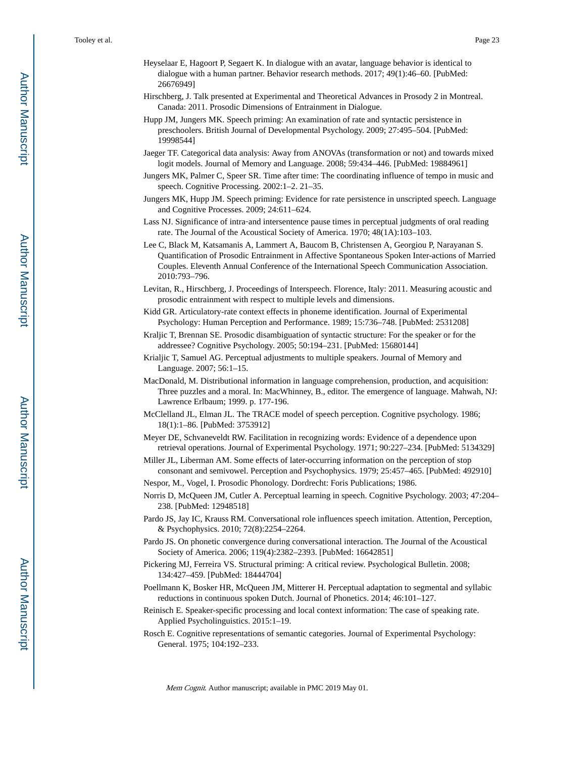- Heyselaar E, Hagoort P, Segaert K. In dialogue with an avatar, language behavior is identical to dialogue with a human partner. Behavior research methods. 2017; 49(1):46–60. [PubMed: 26676949]
- Hirschberg, J. Talk presented at Experimental and Theoretical Advances in Prosody 2 in Montreal. Canada: 2011. Prosodic Dimensions of Entrainment in Dialogue.
- Hupp JM, Jungers MK. Speech priming: An examination of rate and syntactic persistence in preschoolers. British Journal of Developmental Psychology. 2009; 27:495–504. [PubMed: 19998544]
- Jaeger TF. Categorical data analysis: Away from ANOVAs (transformation or not) and towards mixed logit models. Journal of Memory and Language. 2008; 59:434–446. [PubMed: 19884961]
- Jungers MK, Palmer C, Speer SR. Time after time: The coordinating influence of tempo in music and speech. Cognitive Processing. 2002:1–2. 21–35.
- Jungers MK, Hupp JM. Speech priming: Evidence for rate persistence in unscripted speech. Language and Cognitive Processes. 2009; 24:611–624.
- Lass NJ. Significance of intra-and intersentence pause times in perceptual judgments of oral reading rate. The Journal of the Acoustical Society of America. 1970; 48(1A):103–103.
- Lee C, Black M, Katsamanis A, Lammert A, Baucom B, Christensen A, Georgiou P, Narayanan S. Quantification of Prosodic Entrainment in Affective Spontaneous Spoken Inter-actions of Married Couples. Eleventh Annual Conference of the International Speech Communication Association. 2010:793–796.
- Levitan, R., Hirschberg, J. Proceedings of Interspeech. Florence, Italy: 2011. Measuring acoustic and prosodic entrainment with respect to multiple levels and dimensions.
- Kidd GR. Articulatory-rate context effects in phoneme identification. Journal of Experimental Psychology: Human Perception and Performance. 1989; 15:736–748. [PubMed: 2531208]
- Kraljic T, Brennan SE. Prosodic disambiguation of syntactic structure: For the speaker or for the addressee? Cognitive Psychology. 2005; 50:194–231. [PubMed: 15680144]
- Krialjic T, Samuel AG. Perceptual adjustments to multiple speakers. Journal of Memory and Language. 2007; 56:1–15.
- MacDonald, M. Distributional information in language comprehension, production, and acquisition: Three puzzles and a moral. In: MacWhinney, B., editor. The emergence of language. Mahwah, NJ: Lawrence Erlbaum; 1999. p. 177-196.
- McClelland JL, Elman JL. The TRACE model of speech perception. Cognitive psychology. 1986; 18(1):1–86. [PubMed: 3753912]
- Meyer DE, Schvaneveldt RW. Facilitation in recognizing words: Evidence of a dependence upon retrieval operations. Journal of Experimental Psychology. 1971; 90:227–234. [PubMed: 5134329]
- Miller JL, Liberman AM. Some effects of later-occurring information on the perception of stop consonant and semivowel. Perception and Psychophysics. 1979; 25:457–465. [PubMed: 492910]
- Nespor, M., Vogel, I. Prosodic Phonology. Dordrecht: Foris Publications; 1986.
- Norris D, McQueen JM, Cutler A. Perceptual learning in speech. Cognitive Psychology. 2003; 47:204– 238. [PubMed: 12948518]
- Pardo JS, Jay IC, Krauss RM. Conversational role influences speech imitation. Attention, Perception, & Psychophysics. 2010; 72(8):2254–2264.
- Pardo JS. On phonetic convergence during conversational interaction. The Journal of the Acoustical Society of America. 2006; 119(4):2382–2393. [PubMed: 16642851]
- Pickering MJ, Ferreira VS. Structural priming: A critical review. Psychological Bulletin. 2008; 134:427–459. [PubMed: 18444704]
- Poellmann K, Bosker HR, McQueen JM, Mitterer H. Perceptual adaptation to segmental and syllabic reductions in continuous spoken Dutch. Journal of Phonetics. 2014; 46:101–127.
- Reinisch E. Speaker-specific processing and local context information: The case of speaking rate. Applied Psycholinguistics. 2015:1–19.
- Rosch E. Cognitive representations of semantic categories. Journal of Experimental Psychology: General. 1975; 104:192–233.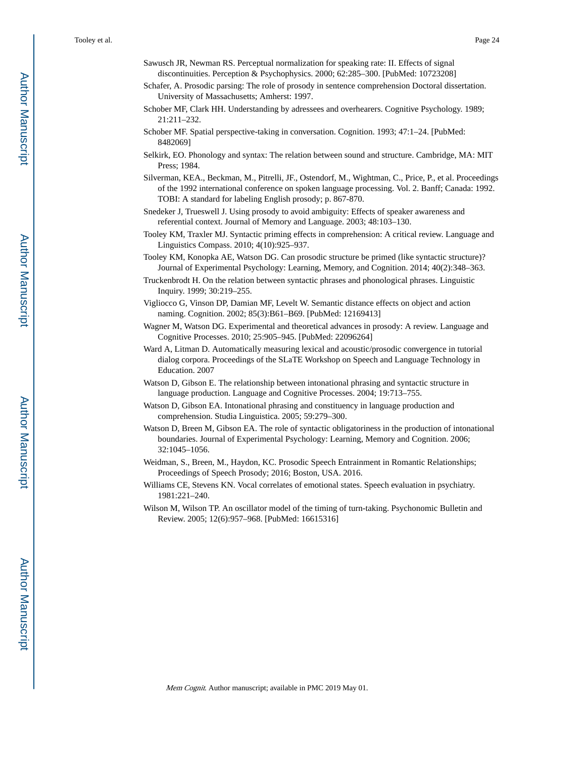- Sawusch JR, Newman RS. Perceptual normalization for speaking rate: II. Effects of signal discontinuities. Perception & Psychophysics. 2000; 62:285–300. [PubMed: 10723208]
- Schafer, A. Prosodic parsing: The role of prosody in sentence comprehension Doctoral dissertation. University of Massachusetts; Amherst: 1997.
- Schober MF, Clark HH. Understanding by adressees and overhearers. Cognitive Psychology. 1989; 21:211–232.
- Schober MF. Spatial perspective-taking in conversation. Cognition. 1993; 47:1–24. [PubMed: 8482069]
- Selkirk, EO. Phonology and syntax: The relation between sound and structure. Cambridge, MA: MIT Press; 1984.
- Silverman, KEA., Beckman, M., Pitrelli, JF., Ostendorf, M., Wightman, C., Price, P., et al. Proceedings of the 1992 international conference on spoken language processing. Vol. 2. Banff; Canada: 1992. TOBI: A standard for labeling English prosody; p. 867-870.
- Snedeker J, Trueswell J. Using prosody to avoid ambiguity: Effects of speaker awareness and referential context. Journal of Memory and Language. 2003; 48:103–130.
- Tooley KM, Traxler MJ. Syntactic priming effects in comprehension: A critical review. Language and Linguistics Compass. 2010; 4(10):925–937.
- Tooley KM, Konopka AE, Watson DG. Can prosodic structure be primed (like syntactic structure)? Journal of Experimental Psychology: Learning, Memory, and Cognition. 2014; 40(2):348–363.
- Truckenbrodt H. On the relation between syntactic phrases and phonological phrases. Linguistic Inquiry. 1999; 30:219–255.
- Vigliocco G, Vinson DP, Damian MF, Levelt W. Semantic distance effects on object and action naming. Cognition. 2002; 85(3):B61–B69. [PubMed: 12169413]
- Wagner M, Watson DG. Experimental and theoretical advances in prosody: A review. Language and Cognitive Processes. 2010; 25:905–945. [PubMed: 22096264]
- Ward A, Litman D. Automatically measuring lexical and acoustic/prosodic convergence in tutorial dialog corpora. Proceedings of the SLaTE Workshop on Speech and Language Technology in Education. 2007
- Watson D, Gibson E. The relationship between intonational phrasing and syntactic structure in language production. Language and Cognitive Processes. 2004; 19:713–755.
- Watson D, Gibson EA. Intonational phrasing and constituency in language production and comprehension. Studia Linguistica. 2005; 59:279–300.
- Watson D, Breen M, Gibson EA. The role of syntactic obligatoriness in the production of intonational boundaries. Journal of Experimental Psychology: Learning, Memory and Cognition. 2006; 32:1045–1056.
- Weidman, S., Breen, M., Haydon, KC. Prosodic Speech Entrainment in Romantic Relationships; Proceedings of Speech Prosody; 2016; Boston, USA. 2016.
- Williams CE, Stevens KN. Vocal correlates of emotional states. Speech evaluation in psychiatry. 1981:221–240.
- Wilson M, Wilson TP. An oscillator model of the timing of turn-taking. Psychonomic Bulletin and Review. 2005; 12(6):957–968. [PubMed: 16615316]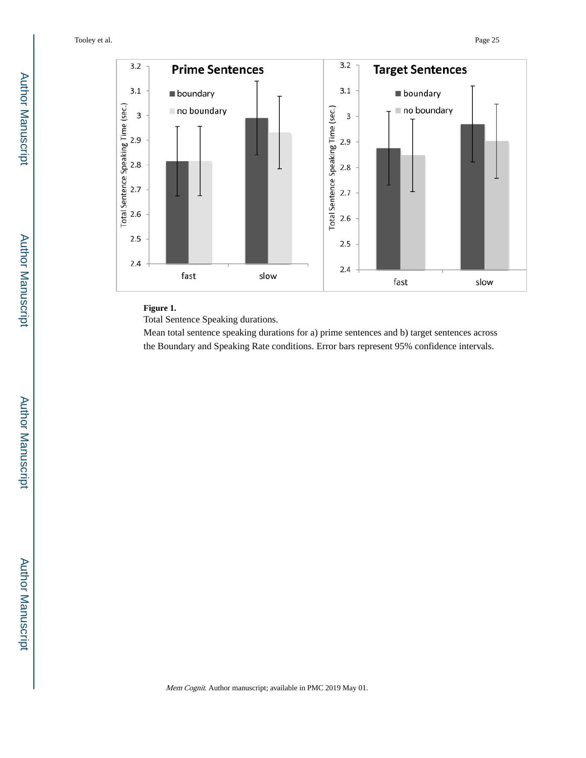

#### **Figure 1.**

Total Sentence Speaking durations.

Mean total sentence speaking durations for a) prime sentences and b) target sentences across the Boundary and Speaking Rate conditions. Error bars represent 95% confidence intervals.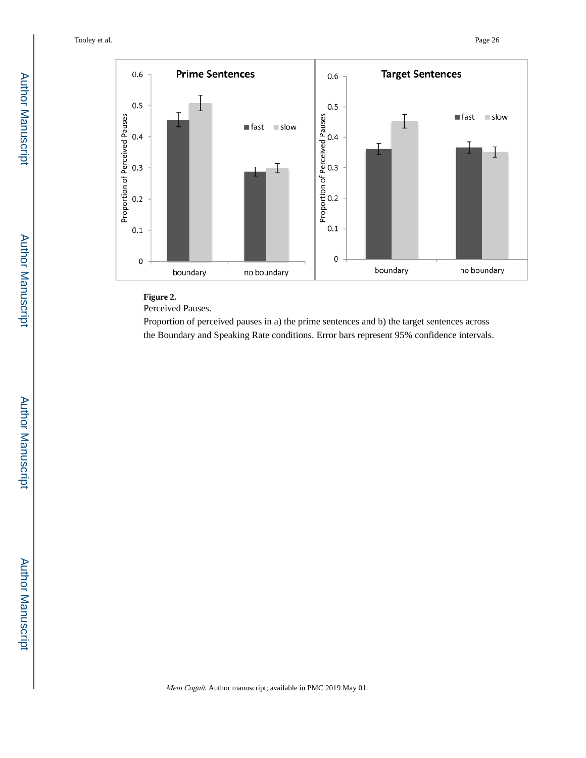Tooley et al. Page 26



# **Figure 2.**

Perceived Pauses.

Proportion of perceived pauses in a) the prime sentences and b) the target sentences across the Boundary and Speaking Rate conditions. Error bars represent 95% confidence intervals.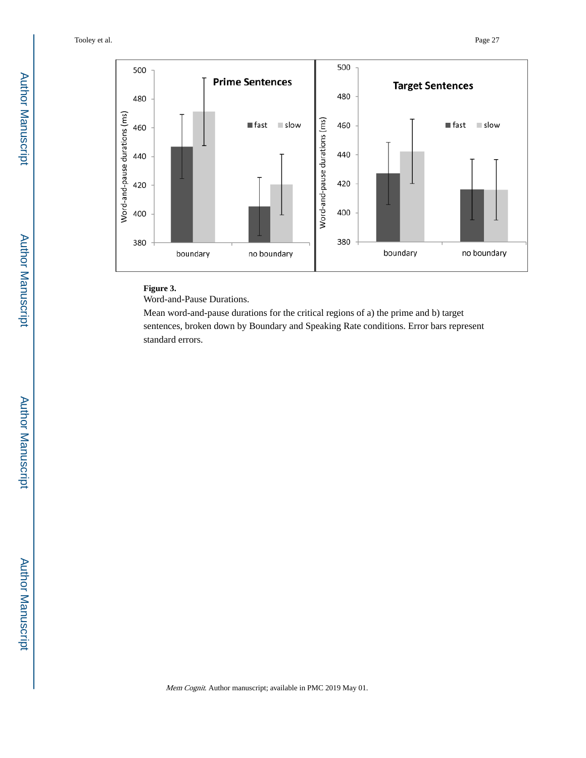

### **Figure 3.**

Word-and-Pause Durations.

Mean word-and-pause durations for the critical regions of a) the prime and b) target sentences, broken down by Boundary and Speaking Rate conditions. Error bars represent standard errors.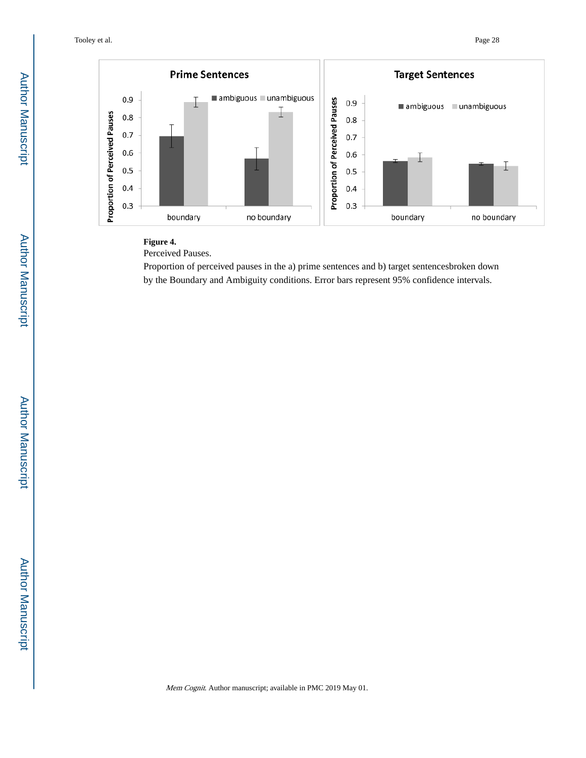

#### **Figure 4.**

Perceived Pauses.

Proportion of perceived pauses in the a) prime sentences and b) target sentencesbroken down by the Boundary and Ambiguity conditions. Error bars represent 95% confidence intervals.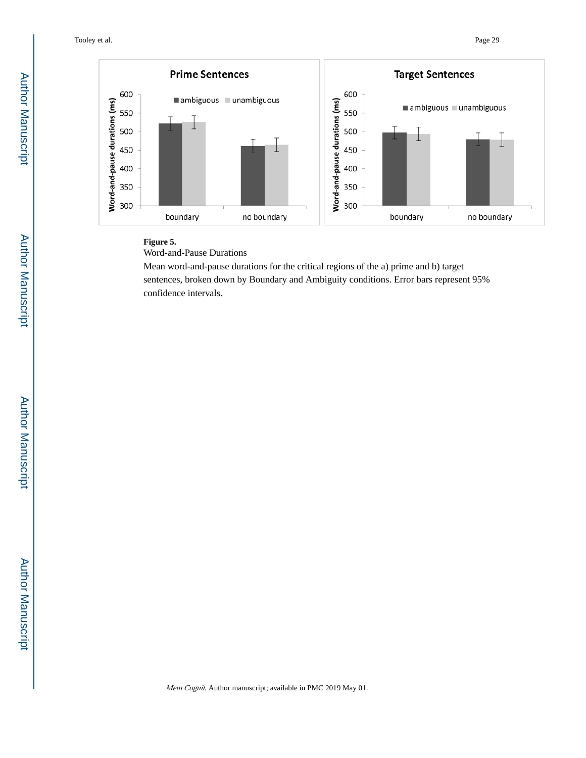

#### **Figure 5.**

#### Word-and-Pause Durations

Mean word-and-pause durations for the critical regions of the a) prime and b) target sentences, broken down by Boundary and Ambiguity conditions. Error bars represent 95% confidence intervals.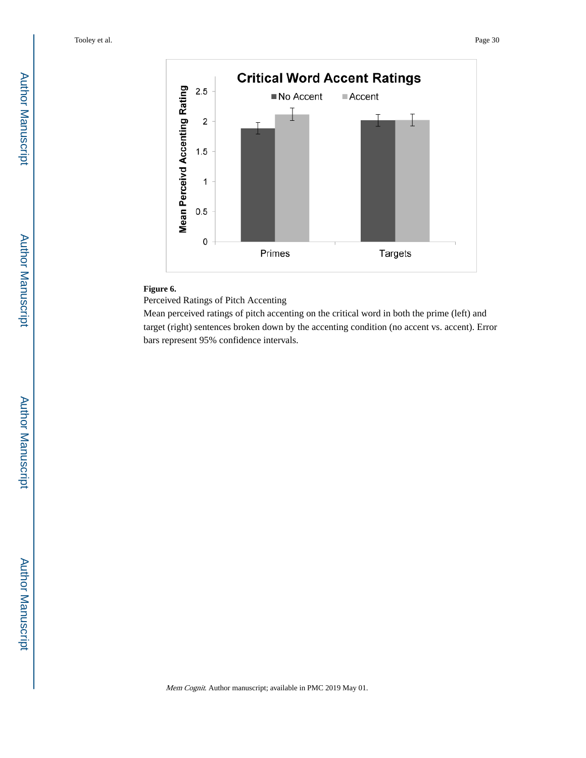

#### **Figure 6.**

Perceived Ratings of Pitch Accenting

Mean perceived ratings of pitch accenting on the critical word in both the prime (left) and target (right) sentences broken down by the accenting condition (no accent vs. accent). Error bars represent 95% confidence intervals.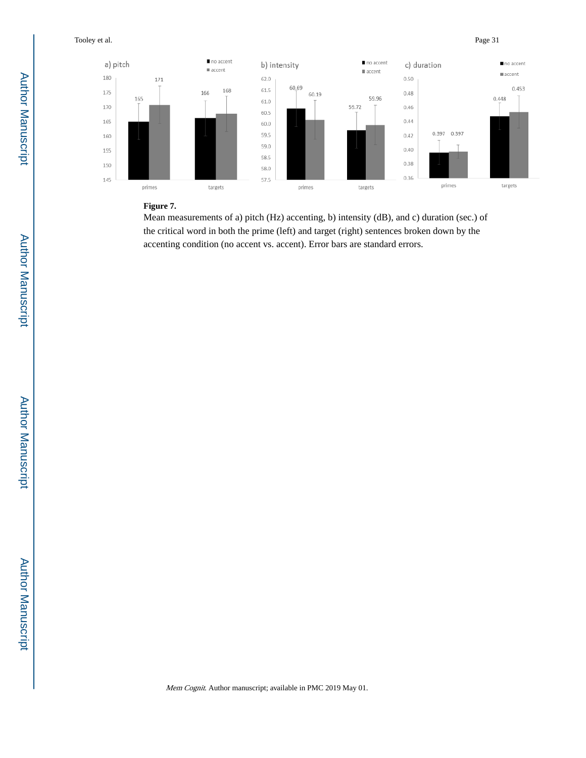

#### **Figure 7.**

Mean measurements of a) pitch (Hz) accenting, b) intensity (dB), and c) duration (sec.) of the critical word in both the prime (left) and target (right) sentences broken down by the accenting condition (no accent vs. accent). Error bars are standard errors.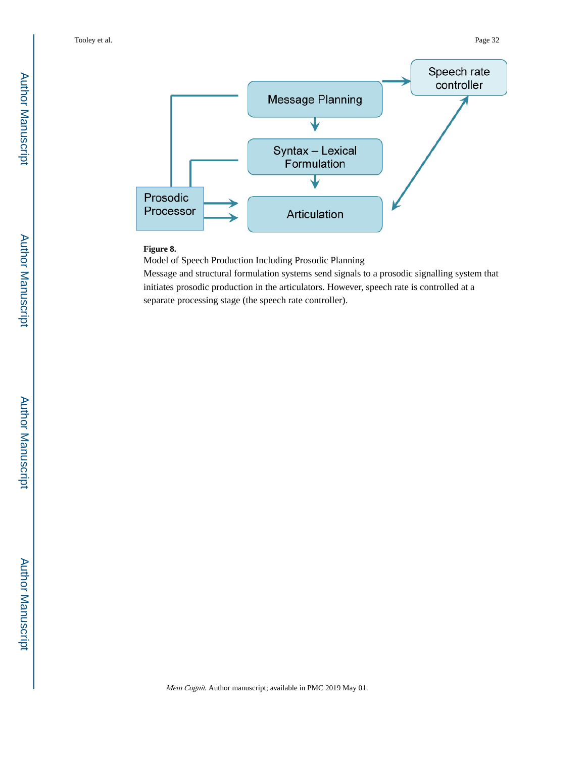

## **Figure 8.**

Model of Speech Production Including Prosodic Planning Message and structural formulation systems send signals to a prosodic signalling system that initiates prosodic production in the articulators. However, speech rate is controlled at a separate processing stage (the speech rate controller).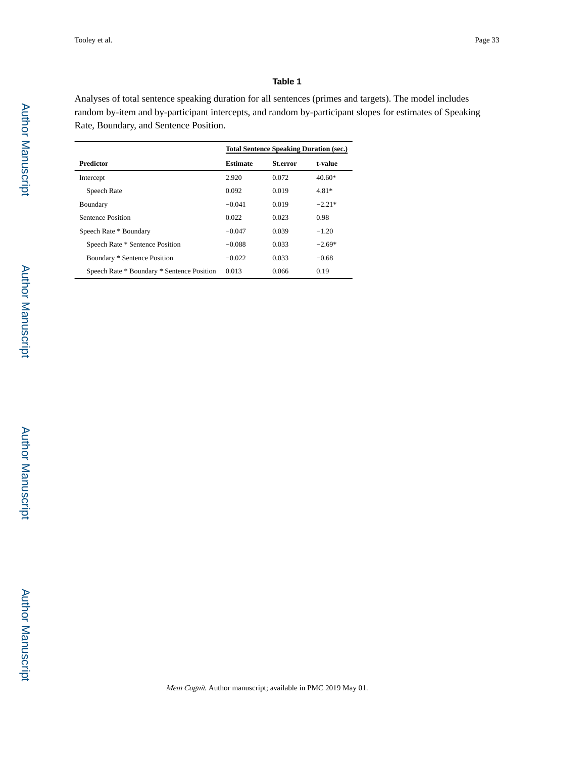### **Table 1**

Analyses of total sentence speaking duration for all sentences (primes and targets). The model includes random by-item and by-participant intercepts, and random by-participant slopes for estimates of Speaking Rate, Boundary, and Sentence Position.

|                                            |          | <b>Total Sentence Speaking Duration (sec.)</b> |          |
|--------------------------------------------|----------|------------------------------------------------|----------|
| <b>Predictor</b>                           | Estimate | St.error                                       | t-value  |
| Intercept                                  | 2.920    | 0.072                                          | $40.60*$ |
| Speech Rate                                | 0.092    | 0.019                                          | $4.81*$  |
| Boundary                                   | $-0.041$ | 0.019                                          | $-2.21*$ |
| Sentence Position                          | 0.022    | 0.023                                          | 0.98     |
| Speech Rate * Boundary                     | $-0.047$ | 0.039                                          | $-1.20$  |
| Speech Rate * Sentence Position            | $-0.088$ | 0.033                                          | $-2.69*$ |
| Boundary * Sentence Position               | $-0.022$ | 0.033                                          | $-0.68$  |
| Speech Rate * Boundary * Sentence Position | 0.013    | 0.066                                          | 0.19     |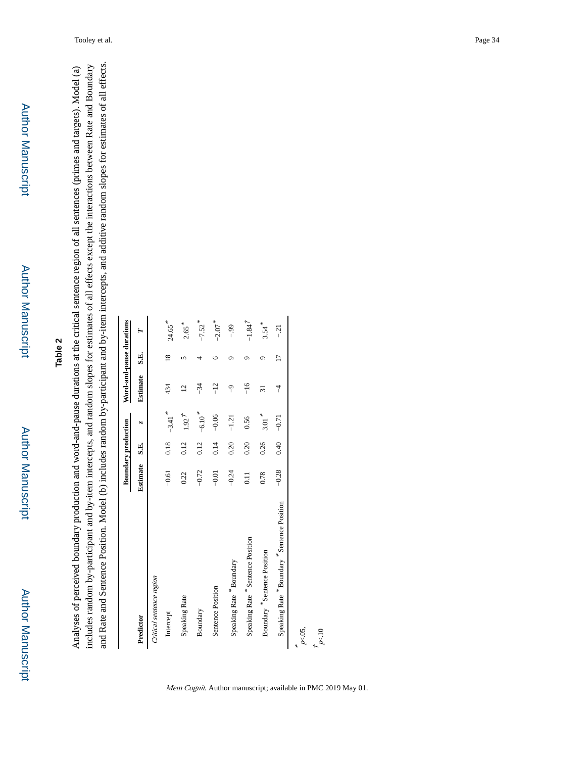Author Manuscript

**Author Manuscript** 

# **Table 2**

and Rate and Sentence Position. Model (b) includes random by-participant and by-item intercepts, and additive random slopes for estimates of all effects. includes random by-participant and by-item intercepts, and random slopes for estimates of all effects except the interactions between Rate and Boundary includes random by-participant and by-item intercepts, and random slopes for estimates of all effects except the interactions between Rate and Boundary and Rate and Sentence Position. Model (b) includes random by-participant and by-item intercepts, and additive random slopes for estimates of all effects. Analyses of perceived boundary production and word-and-pause durations at the critical sentence region of all sentences (primes and targets). Model (a) Analyses of perceived boundary production and word-and-pause durations at the critical sentence region of all sentences (primes and targets). Model (a)

|                                            | <b>Boundary production</b> |      |                      | Word-and-pause durations |                |                      |
|--------------------------------------------|----------------------------|------|----------------------|--------------------------|----------------|----------------------|
| Predictor                                  | Estimate                   | S.E. | N                    | <b>Estimate</b>          | S.E.           | $\ddot{}$            |
| Critical sentence region                   |                            |      |                      |                          |                |                      |
| Intercept                                  | $-0.61$                    | 0.18 | $-3.41$ <sup>*</sup> | 434                      | $\frac{8}{10}$ | 24.65*               |
| Speaking Rate                              | 0.22                       | 0.12 | $1.92^{7}$           | ų                        |                | $2.65*$              |
| Boundary                                   | $-0.72$                    | 0.12 | $-6.10$ <sup>*</sup> | $-34$                    |                | $-7.52$ <sup>*</sup> |
| Sentence Position                          | $-0.01$                    | 0.14 | $-0.06$              | $-12$                    |                | $-2.07$ <sup>*</sup> |
| Speaking Rate * Boundary                   | $-0.24$                    | 0.20 | $-1.21$              | $\tilde{c}$              |                | $-99$                |
| Speaking Rate *Sentence Position           | $\Xi$                      | 0.20 | 0.56                 | $-16$                    |                | $-1.84$ <sup>7</sup> |
| Boundary *Sentence Position                | 0.78                       | 0.26 | $3.01*$              | ಸ                        | σ              | $3.54$ <sup>*</sup>  |
| Speaking Rate *Boundary *Sentence Position | $-0.28$                    | 0.40 | $-0.71$              | $\overline{1}$           | Ξ              | $-21$                |

 $\vec{f}$  p  $\lt10$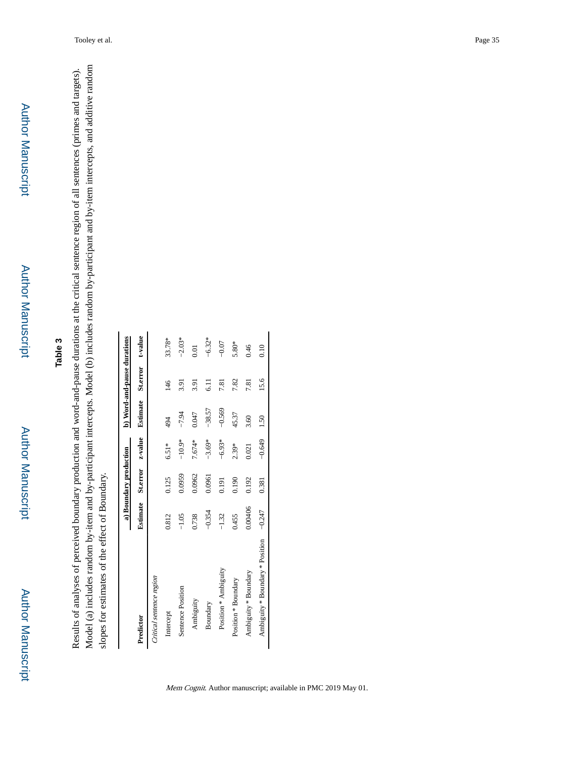Author Manuscript

**Author Manuscript** 

# **Table 3**

Model (a) includes random by-item and by-participant intercepts. Model (b) includes random by-participant and by-item intercepts, and additive random Model (a) includes random by-item and by-participant intercepts. Model (b) includes random by-participant and by-item intercepts, and additive random Results of analyses of perceived boundary production and word-and-pause durations at the critical sentence region of all sentences (primes and targets). Results of analyses of perceived boundary production and word-and-pause durations at the critical sentence region of all sentences (primes and targets). slopes for estimates of the effect of Boundary. slopes for estimates of the effect of Boundary.

| $-1.05$<br>0.738<br>0.812<br>Critical sentence region<br>Sentence Position<br>Ambiguity<br>Intercept<br>Predictor |                           |          |          |                           |          |
|-------------------------------------------------------------------------------------------------------------------|---------------------------|----------|----------|---------------------------|----------|
|                                                                                                                   | Estimate St.error z-value |          |          | Estimate St.error t-value |          |
|                                                                                                                   |                           |          |          |                           |          |
|                                                                                                                   | 0.125                     | $6.51*$  | 494      | $\frac{46}{5}$            | 33.78*   |
|                                                                                                                   | 0.0959                    | $-10.9*$ | $-7.94$  | 3.91                      | $-2.03*$ |
|                                                                                                                   | 0.0962                    | 7.674*   | 0.047    | 3.91                      | 0.01     |
| $-0.354$<br>Boundary                                                                                              | 0.0961                    | $-3.69*$ | $-38.57$ | $\overline{6}$ .          | $-6.32*$ |
| $-1.32$<br>Position * Ambiguity                                                                                   | 0.191                     | $-6.93*$ | $-0.569$ | 7.81                      | $-0.07$  |
| 0.455<br>Position * Boundary                                                                                      | 0.190                     | $2.39*$  | 45.37    | 7.82                      | 5.80*    |
| 0.00406<br>Ambiguity * Boundary                                                                                   | 0.192                     | 0.021    | 3.60     | 7.81                      | 0.46     |
| $-0.247$<br>Ambiguity * Boundary * Position                                                                       | 0.381                     | $-0.649$ | 1.50     | 15.6                      | 0.10     |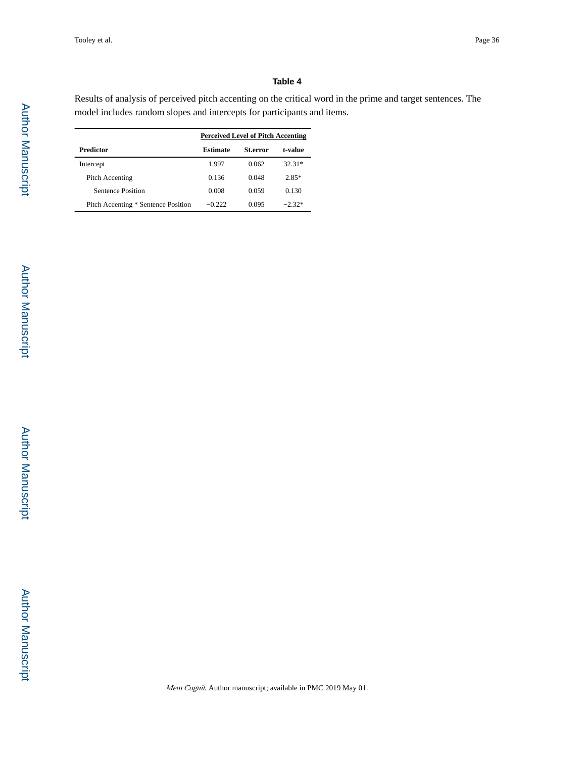#### **Table 4**

Results of analysis of perceived pitch accenting on the critical word in the prime and target sentences. The model includes random slopes and intercepts for participants and items.

|                                     |                 | <b>Perceived Level of Pitch Accenting</b> |          |
|-------------------------------------|-----------------|-------------------------------------------|----------|
| <b>Predictor</b>                    | <b>Estimate</b> | <b>St.error</b>                           | t-value  |
| Intercept                           | 1.997           | 0.062                                     | $32.31*$ |
| Pitch Accenting                     | 0.136           | 0.048                                     | $2.85*$  |
| <b>Sentence Position</b>            | 0.008           | 0.059                                     | 0.130    |
| Pitch Accenting * Sentence Position | $-0.222$        | 0.095                                     | $-2.32*$ |